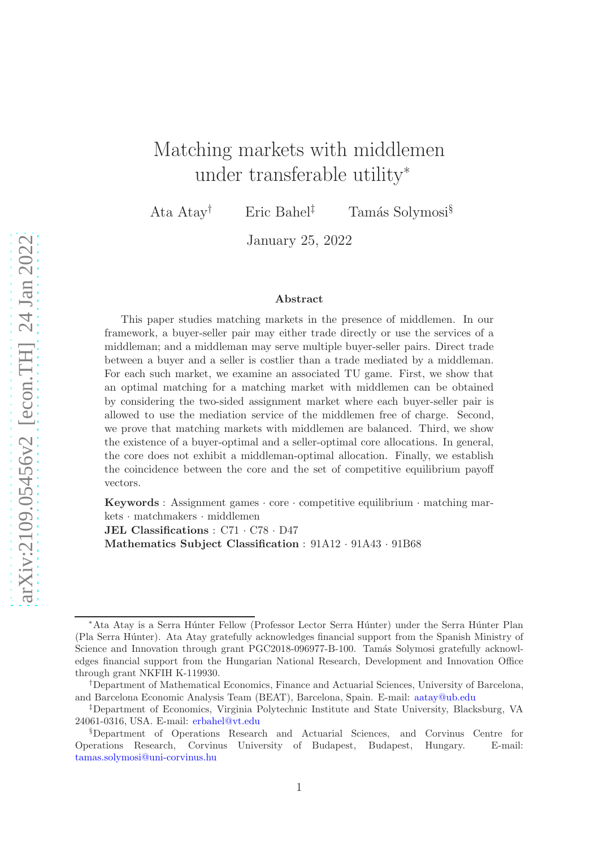# Matching markets with middlemen under transferable utility<sup>∗</sup>

Ata Atay<sup>†</sup> Eric Bahel<sup>‡</sup> Tamás Solymosi<sup>§</sup>

January 25, 2022

#### Abstract

This paper studies matching markets in the presence of middlemen. In our framework, a buyer-seller pair may either trade directly or use the services of a middleman; and a middleman may serve multiple buyer-seller pairs. Direct trade between a buyer and a seller is costlier than a trade mediated by a middleman. For each such market, we examine an associated TU game. First, we show that an optimal matching for a matching market with middlemen can be obtained by considering the two-sided assignment market where each buyer-seller pair is allowed to use the mediation service of the middlemen free of charge. Second, we prove that matching markets with middlemen are balanced. Third, we show the existence of a buyer-optimal and a seller-optimal core allocations. In general, the core does not exhibit a middleman-optimal allocation. Finally, we establish the coincidence between the core and the set of competitive equilibrium payoff vectors.

Keywords : Assignment games · core · competitive equilibrium · matching markets · matchmakers · middlemen

JEL Classifications : C71 · C78 · D47 Mathematics Subject Classification : 91A12 · 91A43 · 91B68

<sup>∗</sup>Ata Atay is a Serra H´unter Fellow (Professor Lector Serra H´unter) under the Serra H´unter Plan (Pla Serra H´unter). Ata Atay gratefully acknowledges financial support from the Spanish Ministry of Science and Innovation through grant PGC2018-096977-B-100. Tamás Solymosi gratefully acknowledges financial support from the Hungarian National Research, Development and Innovation Office through grant NKFIH K-119930.

<sup>†</sup>Department of Mathematical Economics, Finance and Actuarial Sciences, University of Barcelona, and Barcelona Economic Analysis Team (BEAT), Barcelona, Spain. E-mail: [aatay@ub.edu](mailto:aatay@ub.edu)

<sup>‡</sup>Department of Economics, Virginia Polytechnic Institute and State University, Blacksburg, VA 24061-0316, USA. E-mail: [erbahel@vt.edu](mailto:erbahel@vt.edu)

<sup>§</sup>Department of Operations Research and Actuarial Sciences, and Corvinus Centre for Operations Research, Corvinus University of Budapest, Budapest, Hungary. E-mail: [tamas.solymosi@uni-corvinus.hu](mailto:tamas.solymosi@uni-corvinus.hu)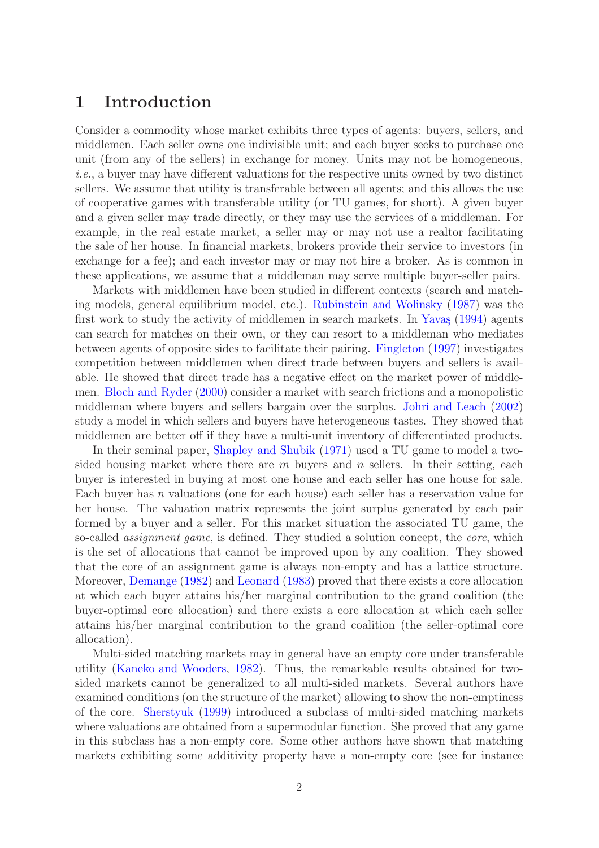# 1 Introduction

Consider a commodity whose market exhibits three types of agents: buyers, sellers, and middlemen. Each seller owns one indivisible unit; and each buyer seeks to purchase one unit (from any of the sellers) in exchange for money. Units may not be homogeneous, i.e., a buyer may have different valuations for the respective units owned by two distinct sellers. We assume that utility is transferable between all agents; and this allows the use of cooperative games with transferable utility (or TU games, for short). A given buyer and a given seller may trade directly, or they may use the services of a middleman. For example, in the real estate market, a seller may or may not use a realtor facilitating the sale of her house. In financial markets, brokers provide their service to investors (in exchange for a fee); and each investor may or may not hire a broker. As is common in these applications, we assume that a middleman may serve multiple buyer-seller pairs.

Markets with middlemen have been studied in different contexts (search and matching models, general equilibrium model, etc.). [Rubinstein and Wolinsky](#page-20-0) [\(1987\)](#page-20-0) was the first work to study the activity of middlemen in search markets. In Yavaş  $(1994)$  agents can search for matches on their own, or they can resort to a middleman who mediates between agents of opposite sides to facilitate their pairing. [Fingleton](#page-20-1) [\(1997](#page-20-1)) investigates competition between middlemen when direct trade between buyers and sellers is available. He showed that direct trade has a negative effect on the market power of middlemen. [Bloch and Ryder](#page-19-0) [\(2000\)](#page-19-0) consider a market with search frictions and a monopolistic middleman where buyers and sellers bargain over the surplus. [Johri and Leach](#page-20-2) [\(2002](#page-20-2)) study a model in which sellers and buyers have heterogeneous tastes. They showed that middlemen are better off if they have a multi-unit inventory of differentiated products.

In their seminal paper, [Shapley and Shubik](#page-20-3) [\(1971](#page-20-3)) used a TU game to model a twosided housing market where there are  $m$  buyers and  $n$  sellers. In their setting, each buyer is interested in buying at most one house and each seller has one house for sale. Each buyer has n valuations (one for each house) each seller has a reservation value for her house. The valuation matrix represents the joint surplus generated by each pair formed by a buyer and a seller. For this market situation the associated TU game, the so-called *assignment game*, is defined. They studied a solution concept, the *core*, which is the set of allocations that cannot be improved upon by any coalition. They showed that the core of an assignment game is always non-empty and has a lattice structure. Moreover, [Demange](#page-20-4) [\(1982\)](#page-20-4) and [Leonard](#page-20-5) [\(1983\)](#page-20-5) proved that there exists a core allocation at which each buyer attains his/her marginal contribution to the grand coalition (the buyer-optimal core allocation) and there exists a core allocation at which each seller attains his/her marginal contribution to the grand coalition (the seller-optimal core allocation).

Multi-sided matching markets may in general have an empty core under transferable utility [\(Kaneko and Wooders,](#page-20-6) [1982\)](#page-20-6). Thus, the remarkable results obtained for twosided markets cannot be generalized to all multi-sided markets. Several authors have examined conditions (on the structure of the market) allowing to show the non-emptiness of the core. [Sherstyuk](#page-20-7) [\(1999](#page-20-7)) introduced a subclass of multi-sided matching markets where valuations are obtained from a supermodular function. She proved that any game in this subclass has a non-empty core. Some other authors have shown that matching markets exhibiting some additivity property have a non-empty core (see for instance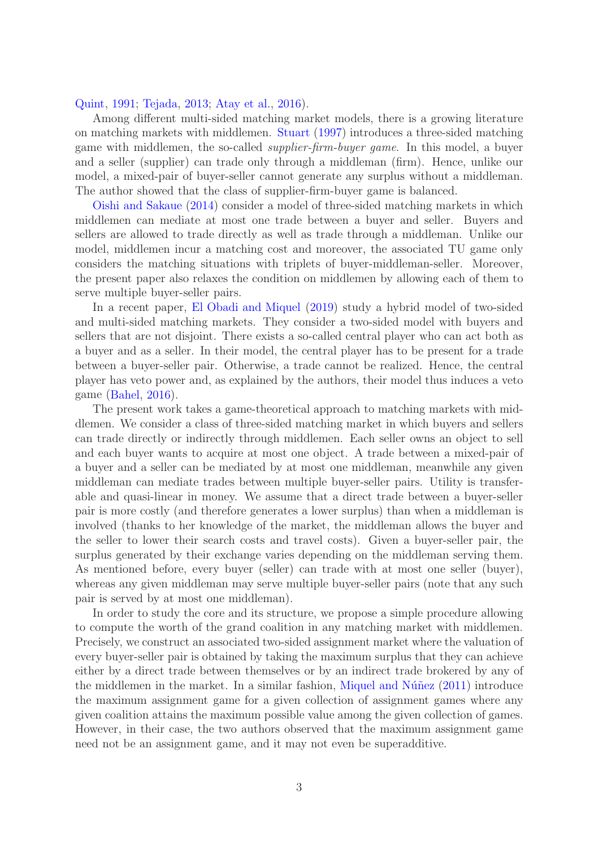### [Quint](#page-20-8), [1991;](#page-20-8) [Tejada](#page-21-1), [2013;](#page-21-1) [Atay et al.,](#page-19-1) [2016](#page-19-1)).

Among different multi-sided matching market models, there is a growing literature on matching markets with middlemen. [Stuart](#page-21-2) [\(1997\)](#page-21-2) introduces a three-sided matching game with middlemen, the so-called supplier-firm-buyer game. In this model, a buyer and a seller (supplier) can trade only through a middleman (firm). Hence, unlike our model, a mixed-pair of buyer-seller cannot generate any surplus without a middleman. The author showed that the class of supplier-firm-buyer game is balanced.

[Oishi and Sakaue](#page-20-9) [\(2014\)](#page-20-9) consider a model of three-sided matching markets in which middlemen can mediate at most one trade between a buyer and seller. Buyers and sellers are allowed to trade directly as well as trade through a middleman. Unlike our model, middlemen incur a matching cost and moreover, the associated TU game only considers the matching situations with triplets of buyer-middleman-seller. Moreover, the present paper also relaxes the condition on middlemen by allowing each of them to serve multiple buyer-seller pairs.

In a recent paper, [El Obadi and Miquel](#page-20-10) [\(2019](#page-20-10)) study a hybrid model of two-sided and multi-sided matching markets. They consider a two-sided model with buyers and sellers that are not disjoint. There exists a so-called central player who can act both as a buyer and as a seller. In their model, the central player has to be present for a trade between a buyer-seller pair. Otherwise, a trade cannot be realized. Hence, the central player has veto power and, as explained by the authors, their model thus induces a veto game [\(Bahel,](#page-19-2) [2016](#page-19-2)).

The present work takes a game-theoretical approach to matching markets with middlemen. We consider a class of three-sided matching market in which buyers and sellers can trade directly or indirectly through middlemen. Each seller owns an object to sell and each buyer wants to acquire at most one object. A trade between a mixed-pair of a buyer and a seller can be mediated by at most one middleman, meanwhile any given middleman can mediate trades between multiple buyer-seller pairs. Utility is transferable and quasi-linear in money. We assume that a direct trade between a buyer-seller pair is more costly (and therefore generates a lower surplus) than when a middleman is involved (thanks to her knowledge of the market, the middleman allows the buyer and the seller to lower their search costs and travel costs). Given a buyer-seller pair, the surplus generated by their exchange varies depending on the middleman serving them. As mentioned before, every buyer (seller) can trade with at most one seller (buyer), whereas any given middleman may serve multiple buyer-seller pairs (note that any such pair is served by at most one middleman).

In order to study the core and its structure, we propose a simple procedure allowing to compute the worth of the grand coalition in any matching market with middlemen. Precisely, we construct an associated two-sided assignment market where the valuation of every buyer-seller pair is obtained by taking the maximum surplus that they can achieve either by a direct trade between themselves or by an indirect trade brokered by any of the middlemen in the market. In a similar fashion, Miquel and Núñez  $(2011)$  $(2011)$  introduce the maximum assignment game for a given collection of assignment games where any given coalition attains the maximum possible value among the given collection of games. However, in their case, the two authors observed that the maximum assignment game need not be an assignment game, and it may not even be superadditive.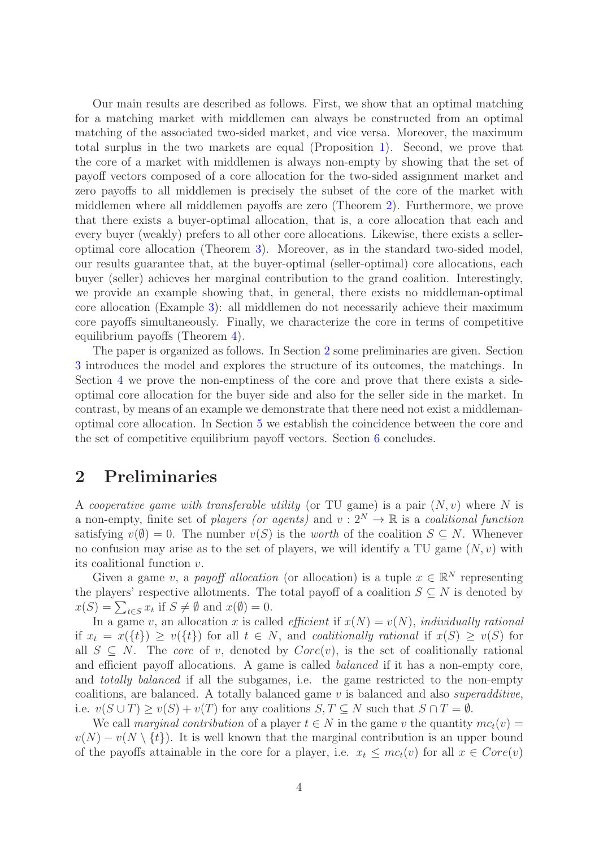Our main results are described as follows. First, we show that an optimal matching for a matching market with middlemen can always be constructed from an optimal matching of the associated two-sided market, and vice versa. Moreover, the maximum total surplus in the two markets are equal (Proposition [1\)](#page-8-0). Second, we prove that the core of a market with middlemen is always non-empty by showing that the set of payoff vectors composed of a core allocation for the two-sided assignment market and zero payoffs to all middlemen is precisely the subset of the core of the market with middlemen where all middlemen payoffs are zero (Theorem [2\)](#page-9-0). Furthermore, we prove that there exists a buyer-optimal allocation, that is, a core allocation that each and every buyer (weakly) prefers to all other core allocations. Likewise, there exists a selleroptimal core allocation (Theorem [3\)](#page-10-0). Moreover, as in the standard two-sided model, our results guarantee that, at the buyer-optimal (seller-optimal) core allocations, each buyer (seller) achieves her marginal contribution to the grand coalition. Interestingly, we provide an example showing that, in general, there exists no middleman-optimal core allocation (Example [3\)](#page-11-0): all middlemen do not necessarily achieve their maximum core payoffs simultaneously. Finally, we characterize the core in terms of competitive equilibrium payoffs (Theorem [4\)](#page-16-0).

The paper is organized as follows. In Section [2](#page-3-0) some preliminaries are given. Section [3](#page-4-0) introduces the model and explores the structure of its outcomes, the matchings. In Section [4](#page-7-0) we prove the non-emptiness of the core and prove that there exists a sideoptimal core allocation for the buyer side and also for the seller side in the market. In contrast, by means of an example we demonstrate that there need not exist a middlemanoptimal core allocation. In Section [5](#page-12-0) we establish the coincidence between the core and the set of competitive equilibrium payoff vectors. Section [6](#page-18-0) concludes.

# <span id="page-3-0"></span>2 Preliminaries

A cooperative game with transferable utility (or TU game) is a pair  $(N, v)$  where N is a non-empty, finite set of players (or agents) and  $v: 2^N \to \mathbb{R}$  is a coalitional function satisfying  $v(\emptyset) = 0$ . The number  $v(S)$  is the worth of the coalition  $S \subseteq N$ . Whenever no confusion may arise as to the set of players, we will identify a TU game  $(N, v)$  with its coalitional function v.

Given a game v, a payoff allocation (or allocation) is a tuple  $x \in \mathbb{R}^N$  representing the players' respective allotments. The total payoff of a coalition  $S \subseteq N$  is denoted by  $x(S) = \sum_{t \in S} x_t$  if  $S \neq \emptyset$  and  $x(\emptyset) = 0$ .

In a game v, an allocation x is called *efficient* if  $x(N) = v(N)$ , *individually rational* if  $x_t = x({t}) \ge v({t})$  for all  $t \in N$ , and *coalitionally rational* if  $x(S) \ge v(S)$  for all  $S \subseteq N$ . The core of v, denoted by  $Core(v)$ , is the set of coalitionally rational and efficient payoff allocations. A game is called balanced if it has a non-empty core, and totally balanced if all the subgames, i.e. the game restricted to the non-empty coalitions, are balanced. A totally balanced game  $v$  is balanced and also superadditive, i.e.  $v(S \cup T) \ge v(S) + v(T)$  for any coalitions  $S, T \subseteq N$  such that  $S \cap T = \emptyset$ .

We call marginal contribution of a player  $t \in N$  in the game v the quantity  $mc_t(v)$  $v(N) - v(N \setminus \{t\})$ . It is well known that the marginal contribution is an upper bound of the payoffs attainable in the core for a player, i.e.  $x_t \leq mc_t(v)$  for all  $x \in Core(v)$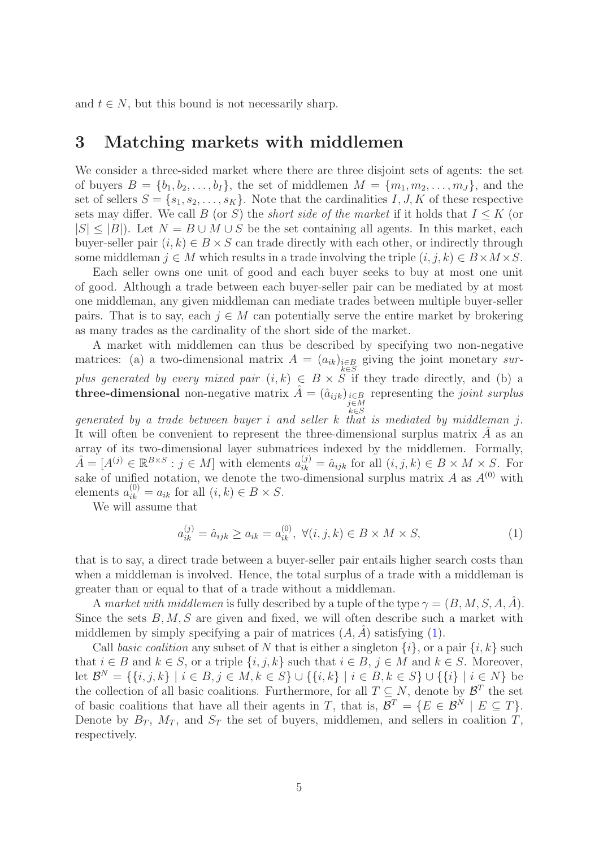<span id="page-4-0"></span>and  $t \in N$ , but this bound is not necessarily sharp.

### 3 Matching markets with middlemen

We consider a three-sided market where there are three disjoint sets of agents: the set of buyers  $B = \{b_1, b_2, \ldots, b_I\}$ , the set of middlemen  $M = \{m_1, m_2, \ldots, m_J\}$ , and the set of sellers  $S = \{s_1, s_2, \ldots, s_K\}$ . Note that the cardinalities I, J, K of these respective sets may differ. We call B (or S) the *short side of the market* if it holds that  $I \leq K$  (or  $|S| \leq |B|$ ). Let  $N = B \cup M \cup S$  be the set containing all agents. In this market, each buyer-seller pair  $(i, k) \in B \times S$  can trade directly with each other, or indirectly through some middleman  $j \in M$  which results in a trade involving the triple  $(i, j, k) \in B \times M \times S$ .

Each seller owns one unit of good and each buyer seeks to buy at most one unit of good. Although a trade between each buyer-seller pair can be mediated by at most one middleman, any given middleman can mediate trades between multiple buyer-seller pairs. That is to say, each  $j \in M$  can potentially serve the entire market by brokering as many trades as the cardinality of the short side of the market.

A market with middlemen can thus be described by specifying two non-negative matrices: (a) a two-dimensional matrix  $A = (a_{ik})_{\substack{i \in B \\ k \in S}}$  giving the joint monetary surplus generated by every mixed pair  $(i, k) \in B \times S$  if they trade directly, and (b) a three-dimensional non-negative matrix  $\hat{A} = (\hat{a}_{ijk})_{\substack{i \in B \\ j \in M}}$  representing the joint surplus

generated by a trade between buyer i and seller k that is mediated by middleman j. It will often be convenient to represent the three-dimensional surplus matrix  $\hat{A}$  as an array of its two-dimensional layer submatrices indexed by the middlemen. Formally,  $\hat{A} = [A^{(j)} \in \mathbb{R}^{B \times S} : j \in M]$  with elements  $a_{ik}^{(j)} = \hat{a}_{ijk}$  for all  $(i, j, k) \in B \times M \times S$ . For sake of unified notation, we denote the two-dimensional surplus matrix A as  $A^{(0)}$  with elements  $a_{ik}^{(0)} = a_{ik}$  for all  $(i, k) \in B \times S$ .

We will assume that

<span id="page-4-1"></span>
$$
a_{ik}^{(j)} = \hat{a}_{ijk} \ge a_{ik} = a_{ik}^{(0)}, \ \forall (i, j, k) \in B \times M \times S,
$$
 (1)

that is to say, a direct trade between a buyer-seller pair entails higher search costs than when a middleman is involved. Hence, the total surplus of a trade with a middleman is greater than or equal to that of a trade without a middleman.

A market with middlemen is fully described by a tuple of the type  $\gamma = (B, M, S, A, A)$ . Since the sets  $B, M, S$  are given and fixed, we will often describe such a market with middlemen by simply specifying a pair of matrices  $(A, A)$  satisfying  $(1)$ .

Call basic coalition any subset of N that is either a singleton  $\{i\}$ , or a pair  $\{i, k\}$  such that  $i \in B$  and  $k \in S$ , or a triple  $\{i, j, k\}$  such that  $i \in B$ ,  $j \in M$  and  $k \in S$ . Moreover, let  $\mathcal{B}^N = \{\{i, j, k\} \mid i \in B, j \in M, k \in S\} \cup \{\{i, k\} \mid i \in B, k \in S\} \cup \{\{i\} \mid i \in N\}$  be the collection of all basic coalitions. Furthermore, for all  $T \subseteq N$ , denote by  $\mathcal{B}^T$  the set of basic coalitions that have all their agents in T, that is,  $\mathcal{B}^T = \{ E \in \mathcal{B}^N \mid E \subseteq T \}.$ Denote by  $B_T$ ,  $M_T$ , and  $S_T$  the set of buyers, middlemen, and sellers in coalition T, respectively.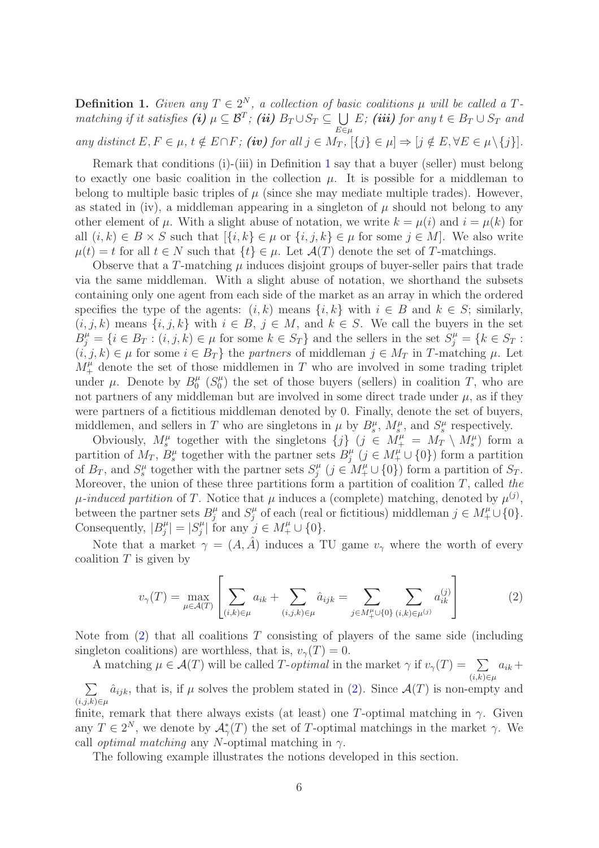<span id="page-5-0"></span>**Definition 1.** Given any  $T \in 2^N$ , a collection of basic coalitions  $\mu$  will be called a Tmatching if it satisfies (i)  $\mu \subseteq \mathcal{B}^T$ ; (ii)  $B_T \cup S_T \subseteq \bigcup$  $E\in\mu$ E; (iii) for any  $t \in B_T \cup S_T$  and any distinct  $E, F \in \mu$ ,  $t \notin E \cap F$ ; (iv) for all  $j \in M_T$ ,  $[\{j\} \in \mu] \Rightarrow [j \notin E, \forall E \in \mu \setminus \{j\}]$ .

Remark that conditions (i)-(iii) in Definition [1](#page-5-0) say that a buyer (seller) must belong to exactly one basic coalition in the collection  $\mu$ . It is possible for a middleman to belong to multiple basic triples of  $\mu$  (since she may mediate multiple trades). However, as stated in (iv), a middleman appearing in a singleton of  $\mu$  should not belong to any other element of  $\mu$ . With a slight abuse of notation, we write  $k = \mu(i)$  and  $i = \mu(k)$  for all  $(i, k) \in B \times S$  such that  $\{i, k\} \in \mu$  or  $\{i, j, k\} \in \mu$  for some  $j \in M$ . We also write  $\mu(t) = t$  for all  $t \in N$  such that  $\{t\} \in \mu$ . Let  $\mathcal{A}(T)$  denote the set of T-matchings.

Observe that a T-matching  $\mu$  induces disjoint groups of buyer-seller pairs that trade via the same middleman. With a slight abuse of notation, we shorthand the subsets containing only one agent from each side of the market as an array in which the ordered specifies the type of the agents:  $(i, k)$  means  $\{i, k\}$  with  $i \in B$  and  $k \in S$ ; similarly,  $(i, j, k)$  means  $\{i, j, k\}$  with  $i \in B, j \in M$ , and  $k \in S$ . We call the buyers in the set  $B_j^{\mu} = \{i \in B_T : (i, j, k) \in \mu \text{ for some } k \in S_T\}$  and the sellers in the set  $S_j^{\mu} = \{k \in S_T : (i, j, k) \in \mu \text{ for some } k \in S_T\}$  $(i, j, k) \in \mu$  for some  $i \in B_T$  the partners of middleman  $j \in M_T$  in T-matching  $\mu$ . Let  $M_{+}^{\mu}$  denote the set of those middlemen in T who are involved in some trading triplet under  $\mu$ . Denote by  $B_0^{\mu}$  $\int_0^\mu$   $(S_0^\mu)$  $\binom{\mu}{0}$  the set of those buyers (sellers) in coalition T, who are not partners of any middleman but are involved in some direct trade under  $\mu$ , as if they were partners of a fictitious middleman denoted by 0. Finally, denote the set of buyers, middlemen, and sellers in T who are singletons in  $\mu$  by  $B_s^{\mu}$ ,  $M_s^{\mu}$ , and  $S_s^{\mu}$  respectively.

Obviously,  $M_s^{\mu}$  together with the singletons  $\{j\}$   $(j \in M_{+}^{\mu} = M_T \setminus M_s^{\mu})$  form a partition of  $M_T$ ,  $B_s^{\mu}$  together with the partner sets  $B_j^{\mu}$  $j^{\mu}$   $(j \in M^{\mu}_{+} \cup \{0\})$  form a partition of  $B_T$ , and  $S_s^{\mu}$  together with the partner sets  $S_j^{\mu}$  $j^{\mu}$   $(j \in M^{\mu}_{+} \cup \{0\})$  form a partition of  $S_T$ . Moreover, the union of these three partitions form a partition of coalition  $T$ , called the  $\mu$ -induced partition of T. Notice that  $\mu$  induces a (complete) matching, denoted by  $\mu^{(j)}$ , between the partner sets  $B_i^{\mu}$  $_j^{\mu}$  and  $S_j^{\mu}$  $j^{\mu}$  of each (real or fictitious) middleman  $j \in M^{\mu}_{+} \cup \{0\}.$ Consequently,  $|B_i^{\mu}|$  $|j^{\mu}| = |S^{\mu}_{j}|$  $j^{\mu}$  for any  $j \in M^{\mu}_{+} \cup \{0\}.$ 

Note that a market  $\gamma = (A, \hat{A})$  induces a TU game  $v_{\gamma}$  where the worth of every coalition  $T$  is given by

<span id="page-5-1"></span>
$$
v_{\gamma}(T) = \max_{\mu \in \mathcal{A}(T)} \left[ \sum_{(i,k) \in \mu} a_{ik} + \sum_{(i,j,k) \in \mu} \hat{a}_{ijk} = \sum_{j \in M_{+}^{\mu} \cup \{0\}} \sum_{(i,k) \in \mu^{(j)}} a_{ik}^{(j)} \right]
$$
(2)

Note from  $(2)$  that all coalitions T consisting of players of the same side (including singleton coalitions) are worthless, that is,  $v_\gamma(T) = 0$ .

A matching  $\mu \in \mathcal{A}(T)$  will be called T-optimal in the market  $\gamma$  if  $v_{\gamma}(T) = \sum a_{ik} +$  $(i, k)∈\mu$  $\sum$  $(i,j,k) \in \mu$  $\hat{a}_{ijk}$ , that is, if  $\mu$  solves the problem stated in [\(2\)](#page-5-1). Since  $\mathcal{A}(T)$  is non-empty and

finite, remark that there always exists (at least) one T-optimal matching in  $\gamma$ . Given any  $T \in 2^N$ , we denote by  $\mathcal{A}_{\gamma}^*(T)$  the set of T-optimal matchings in the market  $\gamma$ . We call *optimal matching* any N-optimal matching in  $\gamma$ .

The following example illustrates the notions developed in this section.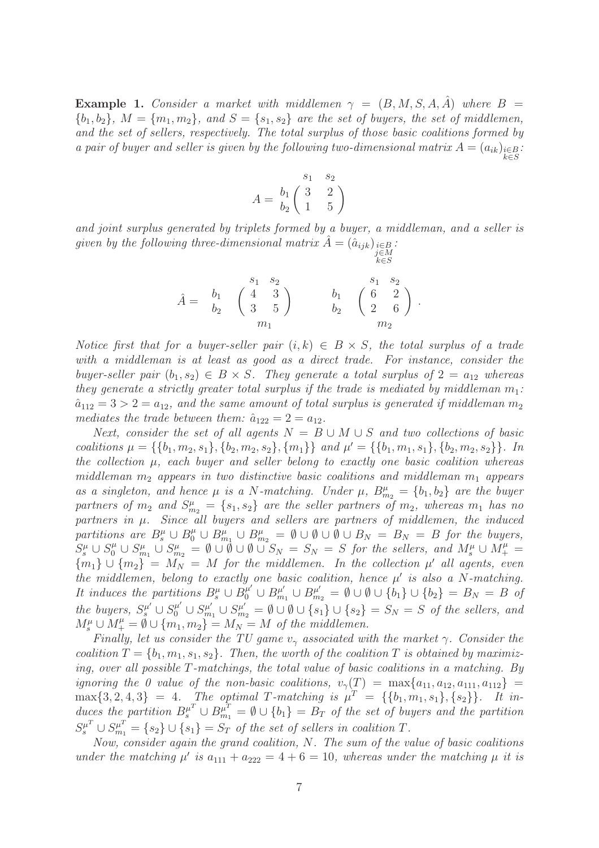<span id="page-6-0"></span>**Example 1.** Consider a market with middlemen  $\gamma = (B, M, S, A, \hat{A})$  where  $B =$  ${b_1, b_2}, M = {m_1, m_2}, and S = {s_1, s_2}$  are the set of buyers, the set of middlemen, and the set of sellers, respectively. The total surplus of those basic coalitions formed by a pair of buyer and seller is given by the following two-dimensional matrix  $A = (a_{ik})_{i \in B}$ : k∈S

$$
A = \begin{pmatrix} s_1 & s_2 \\ b_1 & 3 & 2 \\ b_2 & 1 & 5 \end{pmatrix}
$$

and joint surplus generated by triplets formed by a buyer, a middleman, and a seller is given by the following three-dimensional matrix  $\hat{A} = (\hat{a}_{ijk})_{\substack{i \in B \\ j \in M}}$ .

k∈S

$$
\hat{A} = \begin{array}{cc} & s_1 & s_2 \\ b_1 & \left( \begin{array}{cc} 4 & 3 \\ 3 & 5 \end{array} \right) & b_1 & \left( \begin{array}{cc} s_1 & s_2 \\ 6 & 2 \\ 2 & 6 \end{array} \right) \\ & m_1 \end{array}.
$$

Notice first that for a buyer-seller pair  $(i, k) \in B \times S$ , the total surplus of a trade with a middleman is at least as good as a direct trade. For instance, consider the buyer-seller pair  $(b_1, s_2) \in B \times S$ . They generate a total surplus of  $2 = a_{12}$  whereas they generate a strictly greater total surplus if the trade is mediated by middleman  $m_1$ :  $\hat{a}_{112} = 3 > 2 = a_{12}$ , and the same amount of total surplus is generated if middleman  $m_2$ mediates the trade between them:  $\hat{a}_{122} = 2 = a_{12}$ .

Next, consider the set of all agents  $N = B \cup M \cup S$  and two collections of basic coalitions  $\mu = \{\{b_1, m_2, s_1\}, \{b_2, m_2, s_2\}, \{m_1\}\}\$ and  $\mu' = \{\{b_1, m_1, s_1\}, \{b_2, m_2, s_2\}\}\.$  In the collection  $\mu$ , each buyer and seller belong to exactly one basic coalition whereas middleman  $m_2$  appears in two distinctive basic coalitions and middleman  $m_1$  appears as a singleton, and hence  $\mu$  is a N-matching. Under  $\mu$ ,  $B_{m_2}^{\mu} = \{b_1, b_2\}$  are the buyer partners of  $m_2$  and  $S^{\mu}_{m_2} = \{s_1, s_2\}$  are the seller partners of  $m_2$ , whereas  $m_1$  has no partners in  $\mu$ . Since all buyers and sellers are partners of middlemen, the induced partitions are  $B_s^{\mu} \cup B_{m_1}^{\mu} \cup B_{m_2}^{\mu} = \emptyset \cup \emptyset \cup \emptyset \cup B_N = B_N = B$  for the buyers,  $S_3^{\mu} \cup S_{0}^{\mu} \cup S_{m_1}^{\mu} \cup S_{m_2}^{\mu} = \emptyset \cup \emptyset \cup \emptyset \cup S_N = S_N = S$  for the sellers, and  $M_s^{\mu} \cup M_+^{\mu} =$  ${m_1} \cup {m_2} = M_N = M$  for the middlemen. In the collection  $\mu'$  all agents, even the middlemen, belong to exactly one basic coalition, hence  $\mu'$  is also a N-matching. It induces the partitions  $B_s^{\mu} \cup B_0^{\mu'} \cup B_m^{\mu'}$  $P_{m_1}^{\mu'} \cup B_{m_2}^{\mu'} = \emptyset \cup \emptyset \cup \{b_1\} \cup \{b_2\} = B_N = B$  of the buyers,  $S_{s}^{\mu'} \cup S_{0}^{\mu'} \cup S_{m}^{\mu'}$  $y_{m_1}^{\mu'} \cup S_{m_2}^{\mu'} = \emptyset \cup \emptyset \cup \{s_1\} \cup \{s_2\} = S_N = S$  of the sellers, and  $M_s^{\mu} \cup M_+^{\mu} = \emptyset \cup \{m_1, m_2\} = M_N = M$  of the middlemen.

Finally, let us consider the TU game  $v_{\gamma}$  associated with the market  $\gamma$ . Consider the coalition  $T = \{b_1, m_1, s_1, s_2\}$ . Then, the worth of the coalition T is obtained by maximizing, over all possible T-matchings, the total value of basic coalitions in a matching. By ignoring the 0 value of the non-basic coalitions,  $v_{\gamma}(T) = \max\{a_{11}, a_{12}, a_{111}, a_{112}\}$  =  $\max\{3, 2, 4, 3\} = 4$ . The optimal T-matching is  $\mu^T = \{\{b_1, m_1, s_1\}, \{s_2\}\}\.$  It induces the partition  $B_s^{\mu^T} \cup B_{m_1}^{\mu^T} = \emptyset \cup \{b_1\} = B_T$  of the set of buyers and the partition  $S_s^{\mu^T} \cup S_{m_1}^{\mu^T} = \{s_2\} \cup \{s_1\} = S_T$  of the set of sellers in coalition T.

Now, consider again the grand coalition, N. The sum of the value of basic coalitions under the matching  $\mu'$  is  $a_{111} + a_{222} = 4 + 6 = 10$ , whereas under the matching  $\mu$  it is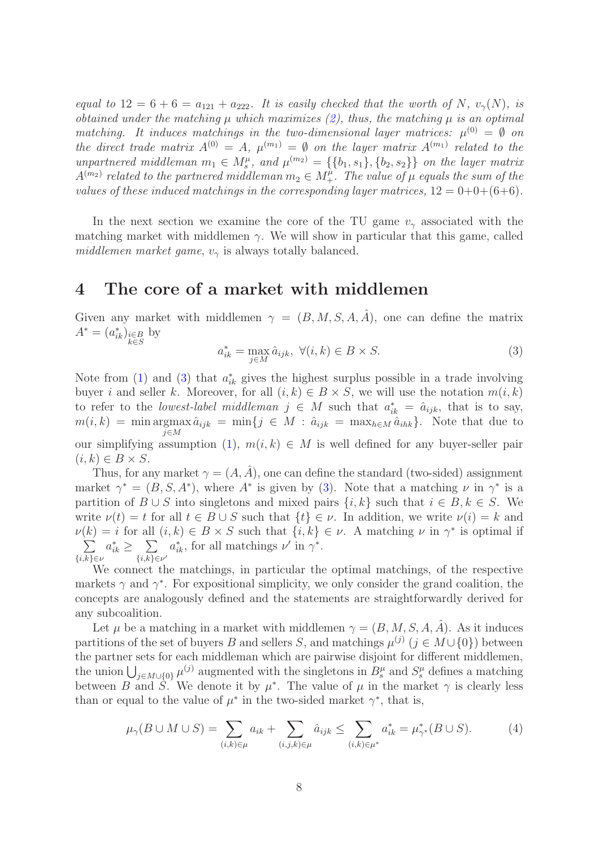equal to  $12 = 6 + 6 = a_{121} + a_{222}$ . It is easily checked that the worth of N,  $v_{\gamma}(N)$ , is obtained under the matching  $\mu$  which maximizes [\(2\)](#page-5-1), thus, the matching  $\mu$  is an optimal matching. It induces matchings in the two-dimensional layer matrices:  $\mu^{(0)} = \emptyset$  on the direct trade matrix  $A^{(0)} = A$ ,  $\mu^{(m_1)} = \emptyset$  on the layer matrix  $A^{(m_1)}$  related to the unpartnered middleman  $m_1 \in M_s^{\mu}$ , and  $\mu^{(m_2)} = \{\{b_1, s_1\}, \{b_2, s_2\}\}\$  on the layer matrix  $A^{(m_2)}$  related to the partnered middleman  $m_2 \in M^{\mu}_+$ . The value of  $\mu$  equals the sum of the values of these induced matchings in the corresponding layer matrices,  $12 = 0+0+(6+6)$ .

In the next section we examine the core of the TU game  $v_{\gamma}$  associated with the matching market with middlemen  $\gamma$ . We will show in particular that this game, called middlemen market game,  $v_{\gamma}$  is always totally balanced.

# <span id="page-7-0"></span>4 The core of a market with middlemen

Given any market with middlemen  $\gamma = (B, M, S, A, \hat{A})$ , one can define the matrix  $A^* = (a_{ik}^*)_{\substack{i \in B \\ k \in S}}$  by

<span id="page-7-1"></span>
$$
a_{ik}^* = \max_{j \in M} \hat{a}_{ijk}, \ \forall (i, k) \in B \times S. \tag{3}
$$

Note from [\(1\)](#page-4-1) and [\(3\)](#page-7-1) that  $a_{ik}^*$  gives the highest surplus possible in a trade involving buyer i and seller k. Moreover, for all  $(i, k) \in B \times S$ , we will use the notation  $m(i, k)$ to refer to the *lowest-label middleman*  $j \in M$  such that  $a_{ik}^* = \hat{a}_{ijk}$ , that is to say,  $m(i,k) = \min \text{argmax} \hat{a}_{ijk} = \min \{j \in M : \hat{a}_{ijk} = \max_{h \in M} \hat{a}_{ihk}\}.$  Note that due to j∈M our simplifying assumption [\(1\)](#page-4-1),  $m(i, k) \in M$  is well defined for any buyer-seller pair  $(i, k) \in B \times S$ .

Thus, for any market  $\gamma = (A, \tilde{A})$ , one can define the standard (two-sided) assignment market  $\gamma^* = (B, S, A^*)$ , where  $A^*$  is given by [\(3\)](#page-7-1). Note that a matching  $\nu$  in  $\gamma^*$  is a partition of  $B \cup S$  into singletons and mixed pairs  $\{i, k\}$  such that  $i \in B, k \in S$ . We write  $\nu(t) = t$  for all  $t \in B \cup S$  such that  $\{t\} \in \nu$ . In addition, we write  $\nu(i) = k$  and  $\nu(k) = i$  for all  $(i, k) \in B \times S$  such that  $\{i, k\} \in \nu$ . A matching  $\nu$  in  $\gamma^*$  is optimal if  $\sum$  $\{i,k\} \in \nu$  $a_{ik}^* \geq \sum$  $\sum_{\{i,k\}\in\nu'} a_{ik}^*$ , for all matchings  $\nu'$  in  $\gamma^*$ .

We connect the matchings, in particular the optimal matchings, of the respective markets  $\gamma$  and  $\gamma^*$ . For expositional simplicity, we only consider the grand coalition, the concepts are analogously defined and the statements are straightforwardly derived for any subcoalition.

Let  $\mu$  be a matching in a market with middlemen  $\gamma = (B, M, S, A, \hat{A})$ . As it induces partitions of the set of buyers B and sellers S, and matchings  $\mu^{(j)}$   $(j \in M \cup \{0\})$  between the partner sets for each middleman which are pairwise disjoint for different middlemen, the union  $\bigcup_{j\in M\cup\{0\}}\mu^{(j)}$  augmented with the singletons in  $B_s^{\mu}$  and  $S_s^{\mu}$  defines a matching between B and S. We denote it by  $\mu^*$ . The value of  $\mu$  in the market  $\gamma$  is clearly less than or equal to the value of  $\mu^*$  in the two-sided market  $\gamma^*$ , that is,

<span id="page-7-2"></span>
$$
\mu_{\gamma}(B \cup M \cup S) = \sum_{(i,k)\in\mu} a_{ik} + \sum_{(i,j,k)\in\mu} \hat{a}_{ijk} \le \sum_{(i,k)\in\mu^*} a_{ik}^* = \mu_{\gamma^*}^*(B \cup S). \tag{4}
$$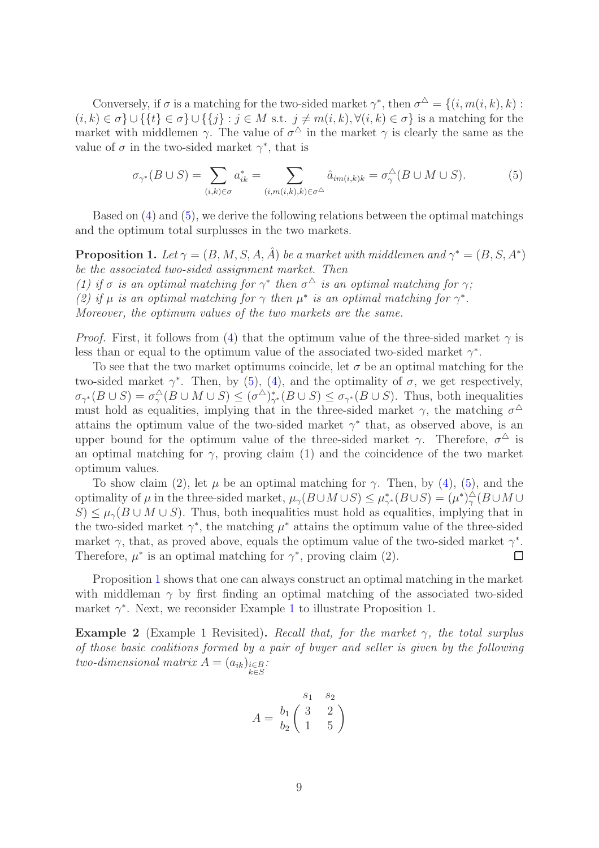Conversely, if  $\sigma$  is a matching for the two-sided market  $\gamma^*$ , then  $\sigma^{\Delta} = \{(i, m(i, k), k) :$  $(i, k) \in \sigma\} \cup \{\{t\} \in \sigma\} \cup \{\{j\} : j \in M \text{ s.t. } j \neq m(i, k), \forall (i, k) \in \sigma\}$  is a matching for the market with middlemen  $\gamma$ . The value of  $\sigma^{\Delta}$  in the market  $\gamma$  is clearly the same as the value of  $\sigma$  in the two-sided market  $\gamma^*$ , that is

<span id="page-8-1"></span>
$$
\sigma_{\gamma^*}(B \cup S) = \sum_{(i,k) \in \sigma} a_{ik}^* = \sum_{(i,m(i,k),k) \in \sigma^{\triangle}} \hat{a}_{im(i,k)k} = \sigma_{\gamma}^{\triangle}(B \cup M \cup S).
$$
 (5)

Based on [\(4\)](#page-7-2) and [\(5\)](#page-8-1), we derive the following relations between the optimal matchings and the optimum total surplusses in the two markets.

<span id="page-8-0"></span>**Proposition 1.** Let  $\gamma = (B, M, S, A, \hat{A})$  be a market with middlemen and  $\gamma^* = (B, S, A^*)$ be the associated two-sided assignment market. Then (1) if  $\sigma$  is an optimal matching for  $\gamma^*$  then  $\sigma^{\Delta}$  is an optimal matching for  $\gamma$ ;

(2) if  $\mu$  is an optimal matching for  $\gamma$  then  $\mu^*$  is an optimal matching for  $\gamma^*$ .

Moreover, the optimum values of the two markets are the same.

*Proof.* First, it follows from [\(4\)](#page-7-2) that the optimum value of the three-sided market  $\gamma$  is less than or equal to the optimum value of the associated two-sided market  $\gamma^*$ .

To see that the two market optimums coincide, let  $\sigma$  be an optimal matching for the two-sided market  $\gamma^*$ . Then, by [\(5\)](#page-8-1), [\(4\)](#page-7-2), and the optimality of  $\sigma$ , we get respectively,  $\sigma_{\gamma^*}(B \cup S) = \sigma_{\gamma}^{\triangle}(B \cup M \cup S) \leq (\sigma^{\triangle})_{\gamma^*}^*(B \cup S) \leq \sigma_{\gamma^*}(B \cup S)$ . Thus, both inequalities must hold as equalities, implying that in the three-sided market  $\gamma$ , the matching  $\sigma^{\Delta}$ attains the optimum value of the two-sided market  $\gamma^*$  that, as observed above, is an upper bound for the optimum value of the three-sided market  $\gamma$ . Therefore,  $\sigma^{\Delta}$  is an optimal matching for  $\gamma$ , proving claim (1) and the coincidence of the two market optimum values.

To show claim (2), let  $\mu$  be an optimal matching for  $\gamma$ . Then, by [\(4\)](#page-7-2), [\(5\)](#page-8-1), and the optimality of  $\mu$  in the three-sided market,  $\mu_\gamma(B\cup M\cup S) \leq \mu_{\gamma^*}^*(B\cup S) = (\mu^*)_\gamma^\Delta(B\cup M\cup S)$  $S \leq \mu_{\gamma}(B \cup M \cup S)$ . Thus, both inequalities must hold as equalities, implying that in the two-sided market  $\gamma^*$ , the matching  $\mu^*$  attains the optimum value of the three-sided market  $\gamma$ , that, as proved above, equals the optimum value of the two-sided market  $\gamma^*$ . Therefore,  $\mu^*$  is an optimal matching for  $\gamma^*$ , proving claim (2).  $\Box$ 

Proposition [1](#page-8-0) shows that one can always construct an optimal matching in the market with middleman  $\gamma$  by first finding an optimal matching of the associated two-sided market  $\gamma^*$ . Next, we reconsider Example [1](#page-6-0) to illustrate Proposition [1.](#page-8-0)

**Example 2** (Example 1 Revisited). Recall that, for the market  $\gamma$ , the total surplus of those basic coalitions formed by a pair of buyer and seller is given by the following two-dimensional matrix  $A = (a_{ik})_{\substack{i \in B \\ k \in S}}$ :

$$
A = \begin{pmatrix} s_1 & s_2 \\ b_1 & 3 & 2 \\ b_2 & 1 & 5 \end{pmatrix}
$$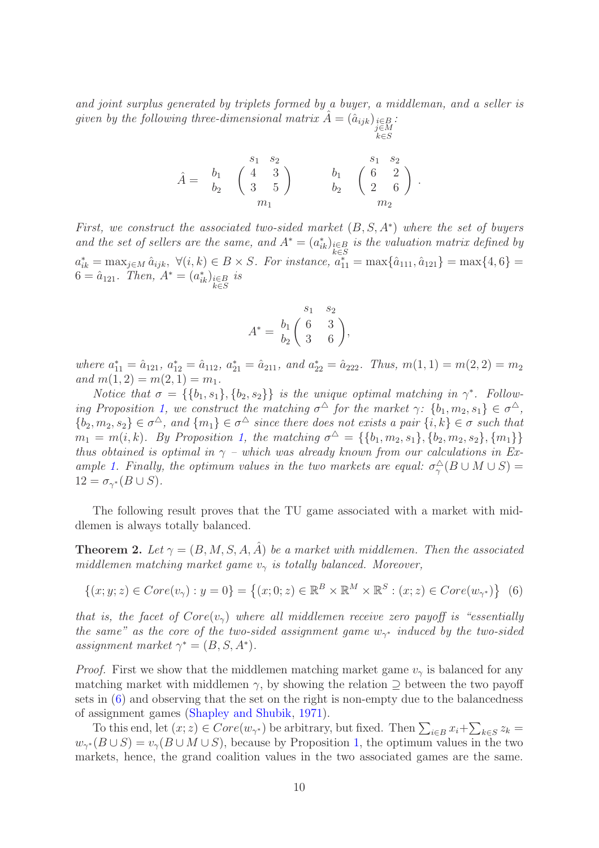and joint surplus generated by triplets formed by a buyer, a middleman, and a seller is given by the following three-dimensional matrix  $\hat{A} = (\hat{a}_{ijk})_{\substack{i \in B \\ j \in M}}$ .

k∈S

$$
\hat{A} = \begin{array}{cc} & s_1 & s_2 \\ b_1 & \left( \begin{array}{cc} 4 & 3 \\ 3 & 5 \end{array} \right) & b_1 & \left( \begin{array}{cc} s_1 & s_2 \\ 6 & 2 \\ 2 & 6 \end{array} \right) \\ & m_1 & m_2 \end{array}.
$$

First, we construct the associated two-sided market  $(B, S, A^*)$  where the set of buyers and the set of sellers are the same, and  $A^* = (a_{ik}^*)_{i \in B \atop k \in C}$  is the valuation matrix defined by  $a_{ik}^* = \max_{j \in M} \hat{a}_{ijk}, \ \forall (i,k) \in B \times S$ . For instance,  $a_{11}^* = \max\{\hat{a}_{111}, \hat{a}_{121}\} = \max\{4, 6\} =$  $6 = \hat{a}_{121}$ . Then,  $A^* = (a_{ik}^*)_{\substack{i \in B \\ k \in S}}$  is

$$
A^* = \begin{pmatrix} s_1 & s_2 \\ b_1 & 6 & 3 \\ b_2 & 3 & 6 \end{pmatrix},
$$

where  $a_{11}^* = \hat{a}_{121}, a_{12}^* = \hat{a}_{112}, a_{21}^* = \hat{a}_{211}, and a_{22}^* = \hat{a}_{222}.$  Thus,  $m(1, 1) = m(2, 2) = m_2$ and  $m(1, 2) = m(2, 1) = m_1$ .

Notice that  $\sigma = \{\{b_1, s_1\}, \{b_2, s_2\}\}\$ is the unique optimal matching in  $\gamma^*$ . Follow-ing Proposition [1,](#page-8-0) we construct the matching  $\sigma^{\Delta}$  for the market  $\gamma: \{b_1, m_2, s_1\} \in \sigma^{\Delta}$ ,  $\{b_2, m_2, s_2\} \in \sigma^{\Delta}$ , and  $\{m_1\} \in \sigma^{\Delta}$  since there does not exists a pair  $\{i, k\} \in \sigma$  such that  $m_1 = m(i, k)$ . By Proposition [1,](#page-8-0) the matching  $\sigma^{\Delta} = \{\{b_1, m_2, s_1\}, \{b_2, m_2, s_2\}, \{m_1\}\}\$ thus obtained is optimal in  $\gamma$  – which was already known from our calculations in Ex-ample [1.](#page-6-0) Finally, the optimum values in the two markets are equal:  $\sigma_{\gamma}^{\triangle}(B \cup M \cup S) =$  $12 = \sigma_{\gamma^*}(B \cup S).$ 

The following result proves that the TU game associated with a market with middlemen is always totally balanced.

<span id="page-9-0"></span>**Theorem 2.** Let  $\gamma = (B, M, S, A, \hat{A})$  be a market with middlemen. Then the associated middlemen matching market game  $v_{\gamma}$  is totally balanced. Moreover,

<span id="page-9-1"></span>
$$
\{(x; y; z) \in Core(v_{\gamma}) : y = 0\} = \{(x; 0; z) \in \mathbb{R}^{B} \times \mathbb{R}^{M} \times \mathbb{R}^{S} : (x; z) \in Core(w_{\gamma^{*}})\}\tag{6}
$$

that is, the facet of  $Core(v_\gamma)$  where all middlemen receive zero payoff is "essentially the same" as the core of the two-sided assignment game  $w_{\gamma^*}$  induced by the two-sided assignment market  $\gamma^* = (B, S, A^*).$ 

*Proof.* First we show that the middlemen matching market game  $v<sub>\gamma</sub>$  is balanced for any matching market with middlemen  $\gamma$ , by showing the relation  $\supseteq$  between the two payoff sets in [\(6\)](#page-9-1) and observing that the set on the right is non-empty due to the balancedness of assignment games [\(Shapley and Shubik](#page-20-3), [1971](#page-20-3)).

To this end, let  $(x; z) \in Core(w_{\gamma^*})$  be arbitrary, but fixed. Then  $\sum_{i \in B} x_i + \sum_{k \in S} z_k =$  $w_{\gamma^*}(B \cup S) = v_{\gamma}(B \cup M \cup S)$ , because by Proposition [1,](#page-8-0) the optimum values in the two markets, hence, the grand coalition values in the two associated games are the same.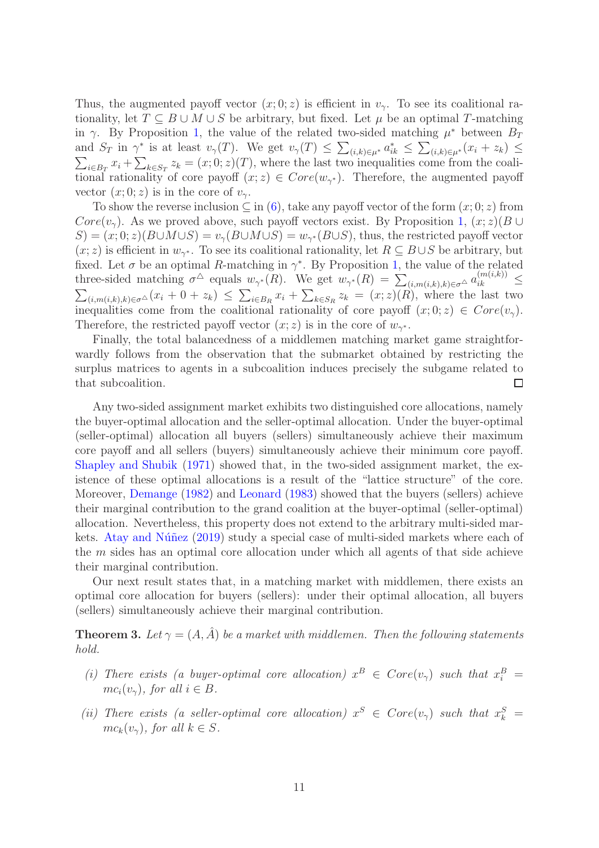Thus, the augmented payoff vector  $(x, 0, z)$  is efficient in  $v<sub>\gamma</sub>$ . To see its coalitional rationality, let  $T \subseteq B \cup M \cup S$  be arbitrary, but fixed. Let  $\mu$  be an optimal T-matching in  $\gamma$ . By Proposition [1,](#page-8-0) the value of the related two-sided matching  $\mu^*$  between  $B_T$ and  $S_T$  in  $\gamma^*$  is at least  $v_\gamma(T)$ . We get  $v_\gamma(T) \leq \sum_{(i,k)\in\mu^*} a_{ik}^* \leq \sum_{(i,k)\in\mu^*} (x_i + z_k) \leq$  $\sum_{i\in B_T} x_i + \sum_{k\in S_T} z_k = (x,0;z)(T)$ , where the last two inequalities come from the coalitional rationality of core payoff  $(x; z) \in Core(w_{\gamma^*})$ . Therefore, the augmented payoff vector  $(x; 0; z)$  is in the core of  $v_{\gamma}$ .

To show the reverse inclusion  $\subseteq$  in [\(6\)](#page-9-1), take any payoff vector of the form  $(x, 0, z)$  from  $Core(v<sub>γ</sub>)$ . As we proved above, such payoff vectors exist. By Proposition [1,](#page-8-0)  $(x; z)(B \cup$  $S = (x, 0; z)(B \cup M \cup S) = v_{\gamma}(B \cup M \cup S) = w_{\gamma^*}(B \cup S)$ , thus, the restricted payoff vector  $(x; z)$  is efficient in  $w_{\gamma^*}$ . To see its coalitional rationality, let  $R \subseteq B \cup S$  be arbitrary, but fixed. Let  $\sigma$  be an optimal R-matching in  $\gamma^*$ . By Proposition [1,](#page-8-0) the value of the related three-sided matching  $\sigma^{\Delta}$  equals  $w_{\gamma^*}(R)$ . We get  $w_{\gamma^*}(R) = \sum_{(i,m(i,k),k) \in \sigma^{\Delta}} a_{ik}^{(m(i,k))} \leq$  $\sum_{(i,m(i,k),k)\in\sigma}\Delta(x_i+0+z_k)\leq\sum_{i\in B_R}x_i+\sum_{k\in S_R}z_k=(x;z)(R)$ , where the last two inequalities come from the coalitional rationality of core payoff  $(x; 0; z) \in Core(v<sub>\gamma</sub>)$ . Therefore, the restricted payoff vector  $(x; z)$  is in the core of  $w_{\gamma^*}$ .

Finally, the total balancedness of a middlemen matching market game straightforwardly follows from the observation that the submarket obtained by restricting the surplus matrices to agents in a subcoalition induces precisely the subgame related to that subcoalition. □

Any two-sided assignment market exhibits two distinguished core allocations, namely the buyer-optimal allocation and the seller-optimal allocation. Under the buyer-optimal (seller-optimal) allocation all buyers (sellers) simultaneously achieve their maximum core payoff and all sellers (buyers) simultaneously achieve their minimum core payoff. [Shapley and Shubik](#page-20-3) [\(1971](#page-20-3)) showed that, in the two-sided assignment market, the existence of these optimal allocations is a result of the "lattice structure" of the core. Moreover, [Demange](#page-20-4) [\(1982\)](#page-20-4) and [Leonard](#page-20-5) [\(1983\)](#page-20-5) showed that the buyers (sellers) achieve their marginal contribution to the grand coalition at the buyer-optimal (seller-optimal) allocation. Nevertheless, this property does not extend to the arbitrary multi-sided markets. Atay and Núñez  $(2019)$  study a special case of multi-sided markets where each of the m sides has an optimal core allocation under which all agents of that side achieve their marginal contribution.

Our next result states that, in a matching market with middlemen, there exists an optimal core allocation for buyers (sellers): under their optimal allocation, all buyers (sellers) simultaneously achieve their marginal contribution.

<span id="page-10-0"></span>**Theorem 3.** Let  $\gamma = (A, \hat{A})$  be a market with middlemen. Then the following statements hold.

- (i) There exists (a buyer-optimal core allocation)  $x^B \in Core(v_\gamma)$  such that  $x_i^B =$  $mc_i(v_\gamma)$ , for all  $i \in B$ .
- (ii) There exists (a seller-optimal core allocation)  $x^S \in Core(v_\gamma)$  such that  $x^S_k =$  $mc_k(v_\gamma)$ , for all  $k \in S$ .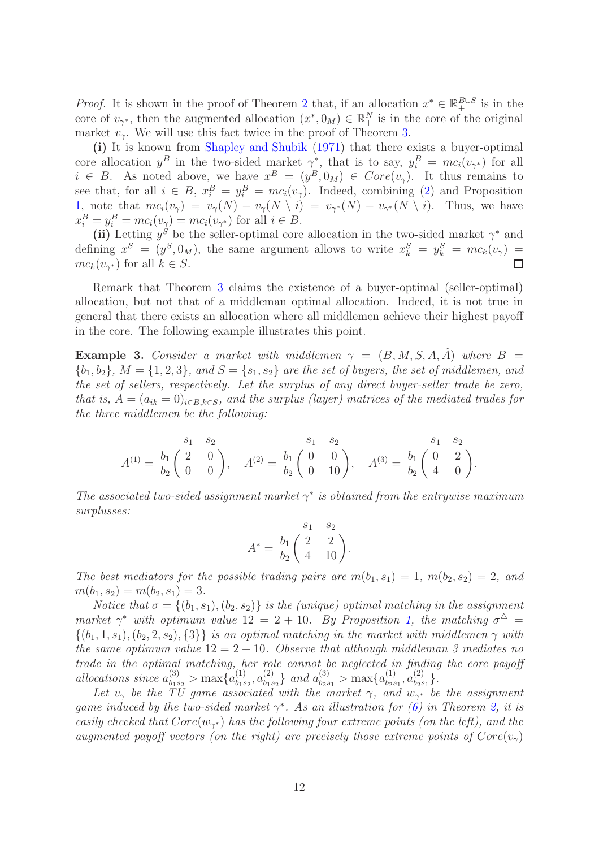*Proof.* It is shown in the proof of Theorem [2](#page-9-0) that, if an allocation  $x^* \in \mathbb{R}_+^{B \cup S}$  is in the core of  $v_{\gamma^*}$ , then the augmented allocation  $(x^*, 0_M) \in \mathbb{R}^N_+$  is in the core of the original market  $v_{\gamma}$ . We will use this fact twice in the proof of Theorem [3.](#page-10-0)

(i) It is known from [Shapley and Shubik](#page-20-3) [\(1971](#page-20-3)) that there exists a buyer-optimal core allocation  $y^B$  in the two-sided market  $\gamma^*$ , that is to say,  $y_i^B = mc_i(v_{\gamma^*})$  for all  $i \in B$ . As noted above, we have  $x^B = (y^B, 0_M) \in Core(v_\gamma)$ . It thus remains to see that, for all  $i \in B$ ,  $x_i^B = y_i^B = mc_i(v_\gamma)$ . Indeed, combining [\(2\)](#page-5-1) and Proposition [1,](#page-8-0) note that  $mc_i(v_\gamma) = v_\gamma(N) - v_\gamma(N \setminus i) = v_{\gamma^*}(N) - v_{\gamma^*}(N \setminus i)$ . Thus, we have  $x_i^B = y_i^B = mc_i(v_\gamma) = mc_i(v_{\gamma^*})$  for all  $i \in B$ .

(ii) Letting  $y^S$  be the seller-optimal core allocation in the two-sided market  $\gamma^*$  and defining  $x^S = (y^S, 0_M)$ , the same argument allows to write  $x_k^S = y_k^S = mc_k(v_\gamma)$  $mc_k(v_{\gamma^*})$  for all  $k \in S$ . П

Remark that Theorem [3](#page-10-0) claims the existence of a buyer-optimal (seller-optimal) allocation, but not that of a middleman optimal allocation. Indeed, it is not true in general that there exists an allocation where all middlemen achieve their highest payoff in the core. The following example illustrates this point.

<span id="page-11-0"></span>**Example 3.** Consider a market with middlemen  $\gamma = (B, M, S, A, \hat{A})$  where  $B =$  ${b_1, b_2}, M = \{1, 2, 3\},$  and  $S = \{s_1, s_2\}$  are the set of buyers, the set of middlemen, and the set of sellers, respectively. Let the surplus of any direct buyer-seller trade be zero, that is,  $A = (a_{ik} = 0)_{i \in B, k \in S}$ , and the surplus (layer) matrices of the mediated trades for the three middlemen be the following:

$$
A^{(1)} = \begin{bmatrix} s_1 & s_2 & s_1 & s_2 & s_1 & s_2 \\ b_2 & 2 & 0 & 0 & 0 \end{bmatrix}, \quad A^{(2)} = \begin{bmatrix} s_1 & s_2 & s_1 & s_2 \\ b_2 & 0 & 10 \end{bmatrix}, \quad A^{(3)} = \begin{bmatrix} s_1 & s_2 & s_1 & s_2 \\ b_2 & 4 & 0 & 0 \end{bmatrix}.
$$

The associated two-sided assignment market  $\gamma^*$  is obtained from the entrywise maximum surplusses:

$$
A^* = \begin{pmatrix} s_1 & s_2 \\ b_1 & 2 & 2 \\ b_2 & 4 & 10 \end{pmatrix}.
$$

The best mediators for the possible trading pairs are  $m(b_1, s_1) = 1$ ,  $m(b_2, s_2) = 2$ , and  $m(b_1, s_2) = m(b_2, s_1) = 3.$ 

Notice that  $\sigma = \{(b_1, s_1), (b_2, s_2)\}\$ is the (unique) optimal matching in the assignment market  $\gamma^*$  with optimum value 12 = 2 + 10. By Proposition [1,](#page-8-0) the matching  $\sigma^{\Delta}$  =  $\{(b_1, 1, s_1), (b_2, 2, s_2), \{3\}\}\$ is an optimal matching in the market with middlemen  $\gamma$  with the same optimum value  $12 = 2 + 10$ . Observe that although middleman 3 mediates no trade in the optimal matching, her role cannot be neglected in finding the core payoff allocations since  $a_{b_1s_2}^{(3)} > \max\{a_{b_1s_2}^{(1)}\}$  $a_{b_1s_2}^{(1)}, a_{b_1s_2}^{(2)}$  $\binom{2}{b_1s_2}$  and  $a_{b_2s_1}^{(3)}$  > max $\{a_{b_2s_2}^{(1)}\}$  $a_{b_2s_1}^{(1)}, a_{b_2s_3}^{(2)}$  $_{b_2s_1}^{(2)}$ .

Let  $v_{\gamma}$  be the TU game associated with the market  $\gamma$ , and  $w_{\gamma^*}$  be the assignment game induced by the two-sided market  $\gamma^*$ . As an illustration for [\(6\)](#page-9-1) in Theorem [2,](#page-9-0) it is easily checked that  $Core(w_{\gamma^*})$  has the following four extreme points (on the left), and the augmented payoff vectors (on the right) are precisely those extreme points of  $Core(v<sub>\gamma</sub>)$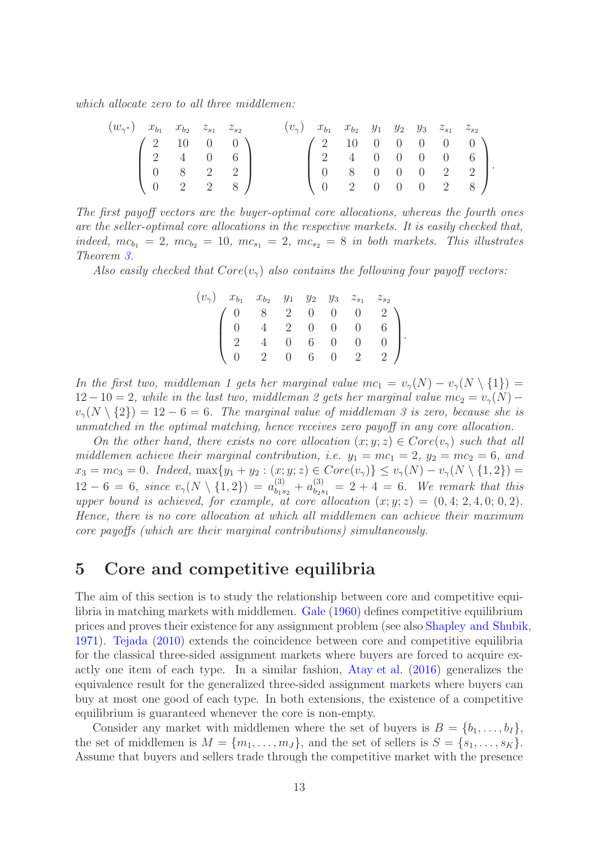which allocate zero to all three middlemen:

| $(w_{\gamma^*})$ $x_{b_1}$ $x_{b_2}$ $z_{s_1}$ $z_{s_2}$ |  |                                               |  | $(v_2)$ $x_{b_1}$ $x_{b_2}$ $y_1$ $y_2$ $y_3$ $z_{s_1}$ $z_{s_2}$       |  |  |  |  |
|----------------------------------------------------------|--|-----------------------------------------------|--|-------------------------------------------------------------------------|--|--|--|--|
|                                                          |  | $\left(2\ 10\ 0\ 0\right)$                    |  | $\left( \begin{array}{cccc} 2 & 10 & 0 & 0 & 0 & 0 \end{array} \right)$ |  |  |  |  |
|                                                          |  | $\begin{bmatrix} 2 & 4 & 0 & 6 \end{bmatrix}$ |  | $\begin{bmatrix} 2 & 4 & 0 & 0 & 0 & 0 & 6 \end{bmatrix}$               |  |  |  |  |
|                                                          |  | $\begin{bmatrix} 0 & 8 & 2 & 2 \end{bmatrix}$ |  | $\begin{bmatrix} 0 & 8 & 0 & 0 & 0 & 2 & 2 \end{bmatrix}$               |  |  |  |  |
|                                                          |  | $\begin{pmatrix} 0 & 2 & 2 & 8 \end{pmatrix}$ |  | $\begin{pmatrix} 0 & 2 & 0 & 0 & 0 & 2 & 8 \end{pmatrix}$               |  |  |  |  |

The first payoff vectors are the buyer-optimal core allocations, whereas the fourth ones are the seller-optimal core allocations in the respective markets. It is easily checked that, indeed,  $mc_{b_1} = 2$ ,  $mc_{b_2} = 10$ ,  $mc_{s_1} = 2$ ,  $mc_{s_2} = 8$  in both markets. This illustrates Theorem [3.](#page-10-0)

Also easily checked that  $Core(v_\gamma)$  also contains the following four payoff vectors:

|  |  |  | $(v_{\gamma})$ $x_{b_1}$ $x_{b_2}$ $y_1$ $y_2$ $y_3$ $z_{s_1}$ $z_{s_2}$                                                                                           |  |
|--|--|--|--------------------------------------------------------------------------------------------------------------------------------------------------------------------|--|
|  |  |  | $\left(\begin{array}{cccccc} 0 & 8 & 2 & 0 & 0 & 0 & 2 \\ 0 & 4 & 2 & 0 & 0 & 0 & 6 \\ 2 & 4 & 0 & 6 & 0 & 0 & 0 \\ 0 & 2 & 0 & 6 & 0 & 2 & 2 \end{array}\right).$ |  |
|  |  |  |                                                                                                                                                                    |  |
|  |  |  |                                                                                                                                                                    |  |
|  |  |  |                                                                                                                                                                    |  |

In the first two, middleman 1 gets her marginal value  $mc_1 = v_\gamma(N) - v_\gamma(N \setminus \{1\}) =$  $12-10=2$ , while in the last two, middleman 2 gets her marginal value  $mc_2=v_{\gamma}(N)$  $v_{\gamma}(N \setminus \{2\}) = 12 - 6 = 6$ . The marginal value of middleman 3 is zero, because she is unmatched in the optimal matching, hence receives zero payoff in any core allocation.

On the other hand, there exists no core allocation  $(x; y; z) \in Core(v<sub>\gamma</sub>)$  such that all middlemen achieve their marginal contribution, i.e.  $y_1 = mc_1 = 2$ ,  $y_2 = mc_2 = 6$ , and  $x_3 = mc_3 = 0.$  Indeed,  $\max\{y_1 + y_2 : (x, y, z) \in Core(v_\gamma)\} \le v_\gamma(N) - v_\gamma(N \setminus \{1, 2\}) =$  $12-6=6$ , since  $v_{\gamma}(N \setminus \{1,2\}) = a_{b_1s_2}^{(3)} + a_{b_2s_1}^{(3)} = 2+4 = 6$ . We remark that this upper bound is achieved, for example, at core allocation  $(x; y; z) = (0, 4; 2, 4, 0; 0, 2)$ . Hence, there is no core allocation at which all middlemen can achieve their maximum core payoffs (which are their marginal contributions) simultaneously.

# <span id="page-12-0"></span>5 Core and competitive equilibria

The aim of this section is to study the relationship between core and competitive equilibria in matching markets with middlemen. [Gale](#page-20-12) [\(1960](#page-20-12)) defines competitive equilibrium prices and proves their existence for any assignment problem (see also [Shapley and Shubik,](#page-20-3) [1971\)](#page-20-3). [Tejada](#page-21-3) [\(2010](#page-21-3)) extends the coincidence between core and competitive equilibria for the classical three-sided assignment markets where buyers are forced to acquire exactly one item of each type. In a similar fashion, [Atay et al.](#page-19-1) [\(2016\)](#page-19-1) generalizes the equivalence result for the generalized three-sided assignment markets where buyers can buy at most one good of each type. In both extensions, the existence of a competitive equilibrium is guaranteed whenever the core is non-empty.

Consider any market with middlemen where the set of buyers is  $B = \{b_1, \ldots, b_I\},\$ the set of middlemen is  $M = \{m_1, \ldots, m_J\}$ , and the set of sellers is  $S = \{s_1, \ldots, s_K\}$ . Assume that buyers and sellers trade through the competitive market with the presence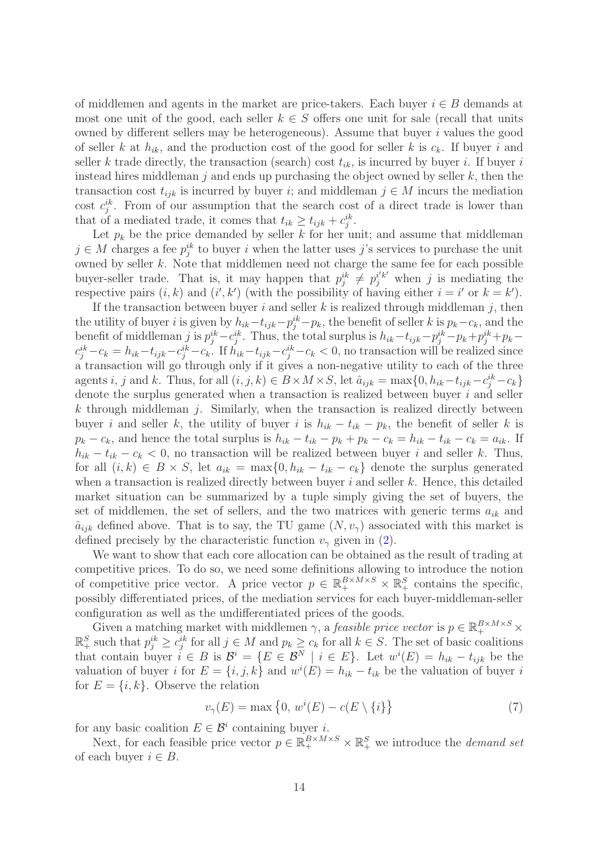of middlemen and agents in the market are price-takers. Each buyer  $i \in B$  demands at most one unit of the good, each seller  $k \in S$  offers one unit for sale (recall that units owned by different sellers may be heterogeneous). Assume that buyer  $i$  values the good of seller k at  $h_{ik}$ , and the production cost of the good for seller k is  $c_k$ . If buyer i and seller k trade directly, the transaction (search) cost  $t_{ik}$ , is incurred by buyer i. If buyer i instead hires middleman  $j$  and ends up purchasing the object owned by seller  $k$ , then the transaction cost  $t_{ijk}$  is incurred by buyer i; and middleman  $j \in M$  incurs the mediation cost  $c_j^{ik}$ . From of our assumption that the search cost of a direct trade is lower than that of a mediated trade, it comes that  $t_{ik} \geq t_{ijk} + c_j^{ik}$ .

Let  $p_k$  be the price demanded by seller k for her unit; and assume that middleman  $j \in M$  charges a fee  $p_j^{ik}$  to buyer i when the latter uses j's services to purchase the unit owned by seller  $k$ . Note that middlemen need not charge the same fee for each possible buyer-seller trade. That is, it may happen that  $p_j^{ik} \neq p_j^{i'k'}$  when j is mediating the respective pairs  $(i, k)$  and  $(i', k')$  (with the possibility of having either  $i = i'$  or  $k = k'$ ).

If the transaction between buyer i and seller k is realized through middleman j, then the utility of buyer *i* is given by  $h_{ik} - t_{ijk} - p_j^{ik} - p_k$ , the benefit of seller k is  $p_k - c_k$ , and the benefit of middleman j is  $p_j^{ik} - c_j^{ik}$ . Thus, the total surplus is  $h_{ik} - t_{ijk} - p_j^{ik} - p_k + p_j^{ik} + p_k$  $c_j^{ik} - c_k = h_{ik} - t_{ijk} - c_j^{ik} - c_k$ . If  $h_{ik} - t_{ijk} - c_j^{ik} - c_k < 0$ , no transaction will be realized since a transaction will go through only if it gives a non-negative utility to each of the three agents *i*, *j* and *k*. Thus, for all  $(i, j, k) \in B \times M \times S$ , let  $\hat{a}_{ijk} = \max\{0, h_{ik} - t_{ijk} - c_j^{ik} - c_k\}$ denote the surplus generated when a transaction is realized between buyer  $i$  and seller  $k$  through middleman j. Similarly, when the transaction is realized directly between buyer i and seller k, the utility of buyer i is  $h_{ik} - t_{ik} - p_k$ , the benefit of seller k is  $p_k - c_k$ , and hence the total surplus is  $h_{ik} - t_{ik} - p_k + p_k - c_k = h_{ik} - t_{ik} - c_k = a_{ik}$ . If  $h_{ik} - t_{ik} - c_k < 0$ , no transaction will be realized between buyer i and seller k. Thus, for all  $(i, k) \in B \times S$ , let  $a_{ik} = \max\{0, h_{ik} - t_{ik} - c_k\}$  denote the surplus generated when a transaction is realized directly between buyer  $i$  and seller  $k$ . Hence, this detailed market situation can be summarized by a tuple simply giving the set of buyers, the set of middlemen, the set of sellers, and the two matrices with generic terms  $a_{ik}$  and  $\hat{a}_{ijk}$  defined above. That is to say, the TU game  $(N, v_{\gamma})$  associated with this market is defined precisely by the characteristic function  $v_{\gamma}$  given in [\(2\)](#page-5-1).

We want to show that each core allocation can be obtained as the result of trading at competitive prices. To do so, we need some definitions allowing to introduce the notion of competitive price vector. A price vector  $p \in \mathbb{R}_+^{B \times M \times S} \times \mathbb{R}_+^S$  contains the specific, possibly differentiated prices, of the mediation services for each buyer-middleman-seller configuration as well as the undifferentiated prices of the goods.

Given a matching market with middlemen  $\gamma$ , a *feasible price vector* is  $p \in \mathbb{R}_+^{B \times M \times S}$  ×  $\mathbb{R}^S_+$  such that  $p_j^{ik} \geq c_j^{ik}$  for all  $j \in M$  and  $p_k \geq c_k$  for all  $k \in S$ . The set of basic coalitions that contain buyer  $i \in B$  is  $\mathcal{B}^i = \{E \in \mathcal{B}^N \mid i \in E\}$ . Let  $w^i(E) = h_{ik} - t_{ijk}$  be the valuation of buyer *i* for  $E = \{i, j, k\}$  and  $w^{i}(E) = h_{ik} - t_{ik}$  be the valuation of buyer *i* for  $E = \{i, k\}$ . Observe the relation

<span id="page-13-0"></span>
$$
v_{\gamma}(E) = \max\left\{0, w^{i}(E) - c(E \setminus \{i\}\right\} \tag{7}
$$

for any basic coalition  $E \in \mathcal{B}^i$  containing buyer *i*.

Next, for each feasible price vector  $p \in \mathbb{R}_+^{B \times M \times S} \times \mathbb{R}_+^S$  we introduce the *demand set* of each buyer  $i \in B$ .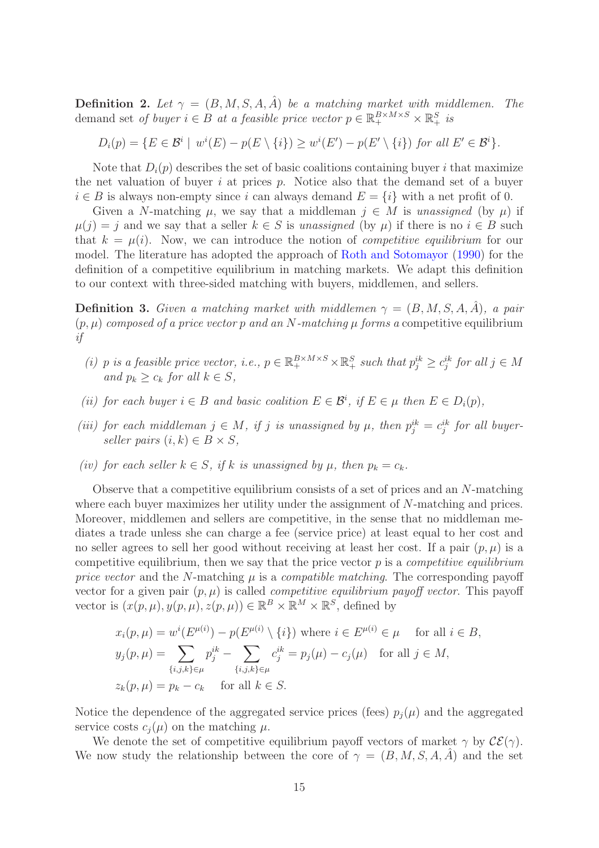**Definition 2.** Let  $\gamma = (B, M, S, A, \hat{A})$  be a matching market with middlemen. The demand set of buyer  $i \in B$  at a feasible price vector  $p \in \mathbb{R}_+^{B \times M \times S} \times \mathbb{R}_+^S$  is

 $D_i(p) = \{ E \in \mathcal{B}^i \mid w^i(E) - p(E \setminus \{i\}) \geq w^i(E') - p(E' \setminus \{i\}) \text{ for all } E' \in \mathcal{B}^i \}.$ 

Note that  $D_i(p)$  describes the set of basic coalitions containing buyer i that maximize the net valuation of buyer  $i$  at prices  $p$ . Notice also that the demand set of a buyer  $i \in B$  is always non-empty since i can always demand  $E = \{i\}$  with a net profit of 0.

Given a N-matching  $\mu$ , we say that a middleman  $j \in M$  is unassigned (by  $\mu$ ) if  $\mu(j) = j$  and we say that a seller  $k \in S$  is unassigned (by  $\mu$ ) if there is no  $i \in B$  such that  $k = \mu(i)$ . Now, we can introduce the notion of *competitive equilibrium* for our model. The literature has adopted the approach of [Roth and Sotomayor](#page-20-13) [\(1990](#page-20-13)) for the definition of a competitive equilibrium in matching markets. We adapt this definition to our context with three-sided matching with buyers, middlemen, and sellers.

**Definition 3.** Given a matching market with middlemen  $\gamma = (B, M, S, A, A)$ , a pair  $(p, \mu)$  composed of a price vector p and an N-matching  $\mu$  forms a competitive equilibrium if

- (i) p is a feasible price vector, i.e.,  $p \in \mathbb{R}_+^{B \times M \times S} \times \mathbb{R}_+^S$  such that  $p_j^{ik} \geq c_j^{ik}$  for all  $j \in M$ and  $p_k > c_k$  for all  $k \in S$ .
- (ii) for each buyer  $i \in B$  and basic coalition  $E \in \mathcal{B}^i$ , if  $E \in \mu$  then  $E \in D_i(p)$ ,
- (iii) for each middleman  $j \in M$ , if j is unassigned by  $\mu$ , then  $p_j^{ik} = c_j^{ik}$  for all buyerseller pairs  $(i, k) \in B \times S$ ,
- (iv) for each seller  $k \in S$ , if k is unassigned by  $\mu$ , then  $p_k = c_k$ .

Observe that a competitive equilibrium consists of a set of prices and an N-matching where each buyer maximizes her utility under the assignment of N-matching and prices. Moreover, middlemen and sellers are competitive, in the sense that no middleman mediates a trade unless she can charge a fee (service price) at least equal to her cost and no seller agrees to sell her good without receiving at least her cost. If a pair  $(p, \mu)$  is a competitive equilibrium, then we say that the price vector  $p$  is a *competitive equilibrium* price vector and the N-matching  $\mu$  is a compatible matching. The corresponding payoff vector for a given pair  $(p, \mu)$  is called *competitive equilibrium payoff vector*. This payoff vector is  $(x(p,\mu), y(p,\mu), z(p,\mu)) \in \mathbb{R}^B \times \mathbb{R}^M \times \mathbb{R}^S$ , defined by

$$
x_i(p,\mu) = w^i(E^{\mu(i)}) - p(E^{\mu(i)} \setminus \{i\}) \text{ where } i \in E^{\mu(i)} \in \mu \text{ for all } i \in B,
$$
  
\n
$$
y_j(p,\mu) = \sum_{\{i,j,k\} \in \mu} p_j^{ik} - \sum_{\{i,j,k\} \in \mu} c_j^{ik} = p_j(\mu) - c_j(\mu) \text{ for all } j \in M,
$$
  
\n
$$
z_k(p,\mu) = p_k - c_k \text{ for all } k \in S.
$$

Notice the dependence of the aggregated service prices (fees)  $p_i(\mu)$  and the aggregated service costs  $c_i(\mu)$  on the matching  $\mu$ .

We denote the set of competitive equilibrium payoff vectors of market  $\gamma$  by  $\mathcal{CE}(\gamma)$ . We now study the relationship between the core of  $\gamma = (B, M, S, A, A)$  and the set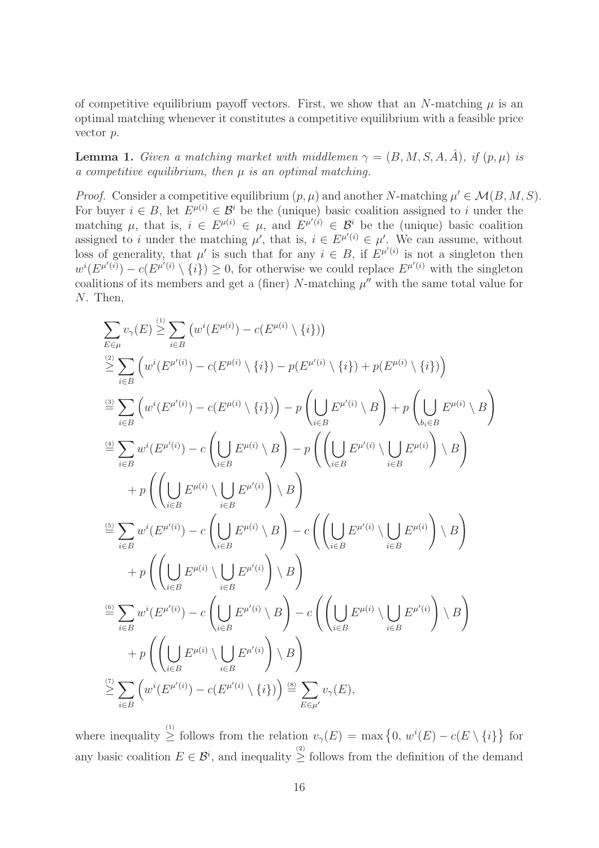of competitive equilibrium payoff vectors. First, we show that an N-matching  $\mu$  is an optimal matching whenever it constitutes a competitive equilibrium with a feasible price vector p.

<span id="page-15-0"></span>**Lemma 1.** Given a matching market with middlemen  $\gamma = (B, M, S, A, \hat{A})$ , if  $(p, \mu)$  is a competitive equilibrium, then  $\mu$  is an optimal matching.

*Proof.* Consider a competitive equilibrium  $(p, \mu)$  and another N-matching  $\mu' \in \mathcal{M}(B, M, S)$ . For buyer  $i \in B$ , let  $E^{\mu(i)} \in \mathcal{B}^i$  be the (unique) basic coalition assigned to i under the matching  $\mu$ , that is,  $i \in E^{\mu(i)} \in \mu$ , and  $E^{\mu'(i)} \in \mathcal{B}^i$  be the (unique) basic coalition assigned to i under the matching  $\mu'$ , that is,  $i \in E^{\mu'(i)} \in \mu'$ . We can assume, without loss of generality, that  $\mu'$  is such that for any  $i \in B$ , if  $E^{\mu'(i)}$  is not a singleton then  $w^{i}(E^{\mu'(i)}) - c(E^{\mu'(i)} \setminus \{i\}) \geq 0$ , for otherwise we could replace  $E^{\mu'(i)}$  with the singleton coalitions of its members and get a (finer) N-matching  $\mu''$  with the same total value for N. Then,

$$
\sum_{E\in\mu} v_{\gamma}(E) \stackrel{(1)}{\geq} \sum_{i\in B} \left( w^{i}(E^{\mu(i)}) - c(E^{\mu(i)} \setminus \{i\}) \right)
$$
\n
$$
\stackrel{(2)}{\geq} \sum_{i\in B} \left( w^{i}(E^{\mu'(i)}) - c(E^{\mu(i)} \setminus \{i\}) - p(E^{\mu'(i)} \setminus \{i\}) + p(E^{\mu(i)} \setminus \{i\}) \right)
$$
\n
$$
\stackrel{(3)}{=} \sum_{i\in B} \left( w^{i}(E^{\mu'(i)}) - c(E^{\mu(i)} \setminus \{i\}) \right) - p \left( \bigcup_{i\in B} E^{\mu'(i)} \setminus B \right) + p \left( \bigcup_{b_i\in B} E^{\mu(i)} \setminus B \right)
$$
\n
$$
\stackrel{(4)}{=} \sum_{i\in B} w^{i}(E^{\mu'(i)}) - c \left( \bigcup_{i\in B} E^{\mu(i)} \setminus B \right) - p \left( \left( \bigcup_{i\in B} E^{\mu'(i)} \setminus \bigcup_{i\in B} E^{\mu(i)} \right) \setminus B \right)
$$
\n
$$
+ p \left( \left( \bigcup_{i\in B} E^{\mu(i)} \setminus \bigcup_{i\in B} E^{\mu'(i)} \right) - c \left( \bigcup_{i\in B} E^{\mu'(i)} \setminus B \right) - c \left( \left( \bigcup_{i\in B} E^{\mu'(i)} \setminus \bigcup_{i\in B} E^{\mu(i)} \right) \setminus B \right)
$$
\n
$$
+ p \left( \left( \bigcup_{i\in B} E^{\mu(i)} \setminus \bigcup_{i\in B} E^{\mu'(i)} \right) \setminus B \right)
$$
\n
$$
\stackrel{(5)}{=} \sum_{i\in B} w^{i}(E^{\mu'(i)}) - c \left( \bigcup_{i\in B} E^{\mu'(i)} \setminus B \right) - c \left( \left( \bigcup_{i\in B} E^{\mu(i)} \setminus \bigcup_{i\in B} E^{\mu'(i)} \right) \setminus B \right)
$$
\n
$$
+ p \left( \left( \bigcup_{i\in B} E^{\mu(i)} \setminus \bigcup_{i\in B} E^{\mu'(i)} \right) \setminus B \right)
$$
\n<

where inequality  $\geq$  follows from the relation  $v_{\gamma}(E) = \max\{0, w^{i}(E) - c(E \setminus \{i\}\}\)$ any basic coalition  $E \in \mathcal{B}^i$ , and inequality  $\geq$  follows from the definition of the demand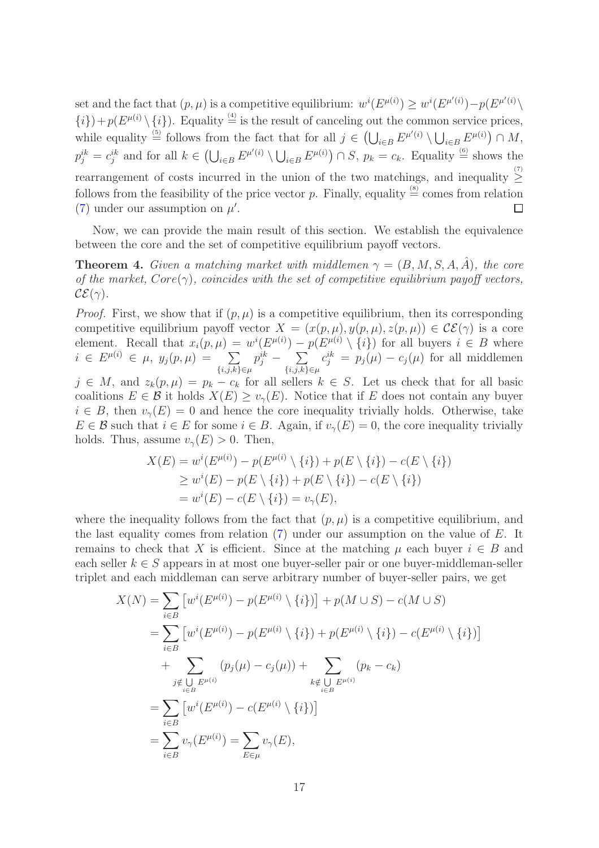set and the fact that  $(p, \mu)$  is a competitive equilibrium:  $w^{i}(E^{\mu(i)}) \geq w^{i}(E^{\mu'(i)}) - p(E^{\mu'(i)})$  $\{i\}$  +  $p(E^{\mu(i)} \setminus \{i\})$ . Equality  $\stackrel{(4)}{=}$  is the result of canceling out the common service prices, while equality  $\stackrel{(5)}{=}$  follows from the fact that for all  $j \in \left(\bigcup_{i \in B} E^{\mu(i)} \setminus \bigcup_{i \in B} E^{\mu(i)}\right) \cap M$ ,  $p_j^{ik} = c_j^{ik}$  and for all  $k \in \left(\bigcup_{i \in B} E^{\mu(i)} \setminus \bigcup_{i \in B} E^{\mu(i)}\right) \cap S$ ,  $p_k = c_k$ . Equality  $\stackrel{(6)}{=}$  shows the rearrangement of costs incurred in the union of the two matchings, and inequality  $\geq$ follows from the feasibility of the price vector p. Finally, equality  $\stackrel{(8)}{=}$  comes from relation [\(7\)](#page-13-0) under our assumption on  $\mu'$ .  $\Box$ 

Now, we can provide the main result of this section. We establish the equivalence between the core and the set of competitive equilibrium payoff vectors.

<span id="page-16-0"></span>**Theorem 4.** Given a matching market with middlemen  $\gamma = (B, M, S, A, A)$ , the core of the market,  $Core(\gamma)$ , coincides with the set of competitive equilibrium payoff vectors,  $\mathcal{CE}(\gamma)$ .

*Proof.* First, we show that if  $(p, \mu)$  is a competitive equilibrium, then its corresponding competitive equilibrium payoff vector  $X = (x(p,\mu), y(p,\mu), z(p,\mu)) \in \mathcal{CE}(\gamma)$  is a core element. Recall that  $x_i(p,\mu) = w^i(E^{\mu(i)}) - p(E^{\mu(i)} \setminus \{i\})$  for all buyers  $i \in B$  where  $i \in E^{\mu(i)} \in \mu$ ,  $y_j(p,\mu) = \sum$  $\{i,j,k\} \in \mu$  $p_j^{ik}$  –  $\sum$  $\{i,j,k\} \in \mu$  $c_j^{ik} = p_j(\mu) - c_j(\mu)$  for all middlemen

 $j \in M$ , and  $z_k(p,\mu) = p_k - c_k$  for all sellers  $k \in S$ . Let us check that for all basic coalitions  $E \in \mathcal{B}$  it holds  $X(E) \geq v_{\gamma}(E)$ . Notice that if E does not contain any buyer  $i \in B$ , then  $v_{\gamma}(E) = 0$  and hence the core inequality trivially holds. Otherwise, take  $E \in \mathcal{B}$  such that  $i \in E$  for some  $i \in B$ . Again, if  $v_{\gamma}(E) = 0$ , the core inequality trivially holds. Thus, assume  $v_{\gamma}(E) > 0$ . Then,

$$
X(E) = w^{i}(E^{\mu(i)}) - p(E^{\mu(i)} \setminus \{i\}) + p(E \setminus \{i\}) - c(E \setminus \{i\})
$$
  
\n
$$
\geq w^{i}(E) - p(E \setminus \{i\}) + p(E \setminus \{i\}) - c(E \setminus \{i\})
$$
  
\n
$$
= w^{i}(E) - c(E \setminus \{i\}) = v_{\gamma}(E),
$$

where the inequality follows from the fact that  $(p, \mu)$  is a competitive equilibrium, and the last equality comes from relation [\(7\)](#page-13-0) under our assumption on the value of E. It remains to check that X is efficient. Since at the matching  $\mu$  each buyer  $i \in B$  and each seller  $k \in S$  appears in at most one buyer-seller pair or one buyer-middleman-seller triplet and each middleman can serve arbitrary number of buyer-seller pairs, we get

$$
X(N) = \sum_{i \in B} \left[ w^{i} (E^{\mu(i)}) - p(E^{\mu(i)} \setminus \{i\}) \right] + p(M \cup S) - c(M \cup S)
$$
  
= 
$$
\sum_{i \in B} \left[ w^{i} (E^{\mu(i)}) - p(E^{\mu(i)} \setminus \{i\}) + p(E^{\mu(i)} \setminus \{i\}) - c(E^{\mu(i)} \setminus \{i\}) \right]
$$
  
+ 
$$
\sum_{j \notin \bigcup_{i \in B} E^{\mu(i)}} (p_{j}(\mu) - c_{j}(\mu)) + \sum_{k \notin \bigcup_{i \in B} E^{\mu(i)}} (p_{k} - c_{k})
$$
  
= 
$$
\sum_{i \in B} \left[ w^{i} (E^{\mu(i)}) - c(E^{\mu(i)} \setminus \{i\}) \right]
$$
  
= 
$$
\sum_{i \in B} v_{\gamma} (E^{\mu(i)}) = \sum_{E \in \mu} v_{\gamma}(E),
$$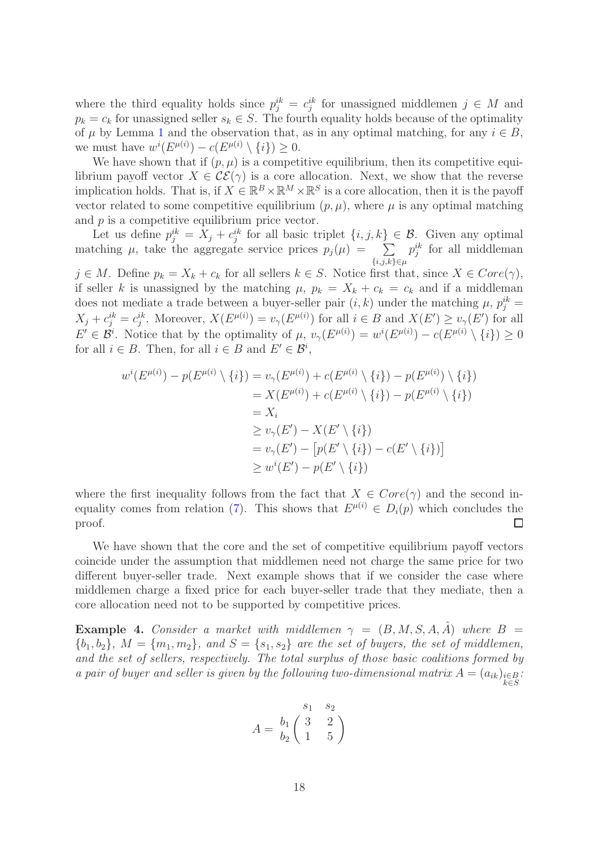where the third equality holds since  $p_j^{ik} = c_j^{ik}$  for unassigned middlemen  $j \in M$  and  $p_k = c_k$  for unassigned seller  $s_k \in S$ . The fourth equality holds because of the optimality of  $\mu$  by Lemma [1](#page-15-0) and the observation that, as in any optimal matching, for any  $i \in B$ , we must have  $w^{i}(E^{\mu(i)}) - c(E^{\mu(i)} \setminus \{i\}) \geq 0$ .

We have shown that if  $(p, \mu)$  is a competitive equilibrium, then its competitive equilibrium payoff vector  $X \in \mathcal{CE}(\gamma)$  is a core allocation. Next, we show that the reverse implication holds. That is, if  $X \in \mathbb{R}^B \times \mathbb{R}^M \times \mathbb{R}^S$  is a core allocation, then it is the payoff vector related to some competitive equilibrium  $(p, \mu)$ , where  $\mu$  is any optimal matching and  $p$  is a competitive equilibrium price vector.

Let us define  $p_j^{ik} = X_j + c_j^{ik}$  for all basic triplet  $\{i, j, k\} \in \mathcal{B}$ . Given any optimal matching  $\mu$ , take the aggregate service prices  $p_j(\mu) = \sum$  $\{i,j,k\}$ ∈ $\mu$  $p_j^{ik}$  for all middleman  $j \in M$ . Define  $p_k = X_k + c_k$  for all sellers  $k \in S$ . Notice first that, since  $X \in Core(\gamma)$ , if seller k is unassigned by the matching  $\mu$ ,  $p_k = X_k + c_k = c_k$  and if a middleman does not mediate a trade between a buyer-seller pair  $(i, k)$  under the matching  $\mu$ ,  $p_j^{ik} =$  $X_j + c_j^{ik} = c_j^{ik}$ . Moreover,  $X(E^{\mu(i)}) = v_\gamma(E^{\mu(i)})$  for all  $i \in B$  and  $X(E') \ge v_\gamma(E')$  for all  $E' \in \mathcal{B}^i$ . Notice that by the optimality of  $\mu$ ,  $v_\gamma(E^{\mu(i)}) = w^i(E^{\mu(i)}) - c(E^{\mu(i)} \setminus \{i\}) \geq 0$ for all  $i \in B$ . Then, for all  $i \in B$  and  $E' \in \mathcal{B}^i$ ,

$$
w^{i}(E^{\mu(i)}) - p(E^{\mu(i)} \setminus \{i\}) = v_{\gamma}(E^{\mu(i)}) + c(E^{\mu(i)} \setminus \{i\}) - p(E^{\mu(i)} \setminus \{i\})
$$
  
=  $X(E^{\mu(i)}) + c(E^{\mu(i)} \setminus \{i\}) - p(E^{\mu(i)} \setminus \{i\})$   
=  $X_{i}$   

$$
\ge v_{\gamma}(E') - X(E' \setminus \{i\})
$$
  
=  $v_{\gamma}(E') - [p(E' \setminus \{i\}) - c(E' \setminus \{i\})]$   

$$
\ge w^{i}(E') - p(E' \setminus \{i\})
$$

where the first inequality follows from the fact that  $X \in Core(\gamma)$  and the second in-equality comes from relation [\(7\)](#page-13-0). This shows that  $E^{\mu(i)} \in D_i(p)$  which concludes the proof.  $\Box$ 

We have shown that the core and the set of competitive equilibrium payoff vectors coincide under the assumption that middlemen need not charge the same price for two different buyer-seller trade. Next example shows that if we consider the case where middlemen charge a fixed price for each buyer-seller trade that they mediate, then a core allocation need not to be supported by competitive prices.

**Example 4.** Consider a market with middlemen  $\gamma = (B, M, S, A, \hat{A})$  where  $B =$  ${b_1, b_2}, M = {m_1, m_2}, and S = {s_1, s_2} are the set of buyers, the set of middlemen,$ and the set of sellers, respectively. The total surplus of those basic coalitions formed by a pair of buyer and seller is given by the following two-dimensional matrix  $A = (a_{ik})_{\substack{i \in B \\ k \in S}}$ .

$$
A = \begin{pmatrix} s_1 & s_2 \\ b_1 & 3 & 2 \\ b_2 & 1 & 5 \end{pmatrix}
$$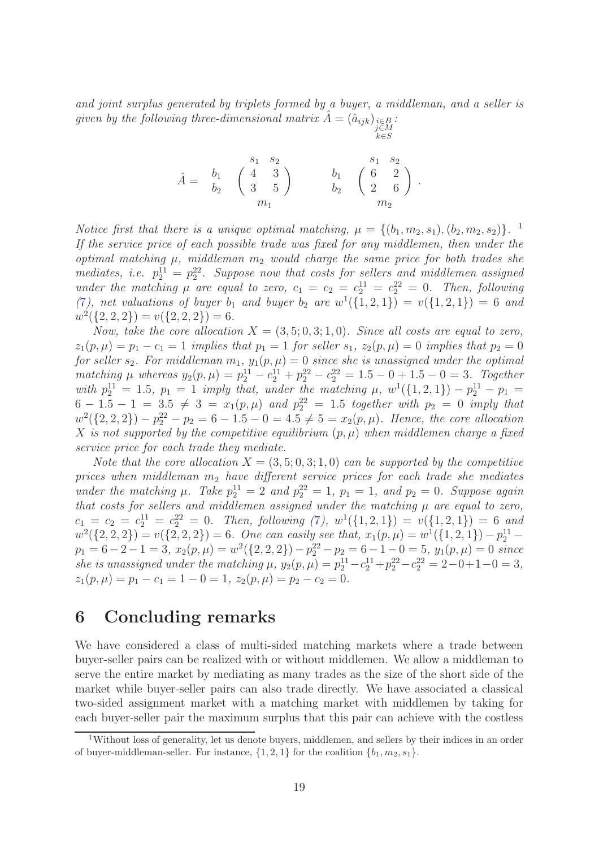and joint surplus generated by triplets formed by a buyer, a middleman, and a seller is given by the following three-dimensional matrix  $\hat{A} = (\hat{a}_{ijk})_{\substack{i \in B \\ j \in M}}$ .

k∈S

$$
\hat{A} = \begin{array}{cc} & s_1 & s_2 \\ b_1 & \left( \begin{array}{cc} 4 & 3 \\ 3 & 5 \end{array} \right) & b_1 & \left( \begin{array}{cc} s_1 & s_2 \\ 6 & 2 \\ 2 & 6 \end{array} \right) \\ & m_1 \end{array}.
$$

Notice first that there is a unique optimal matching,  $\mu = \{(b_1, m_2, s_1), (b_2, m_2, s_2)\}\.$ <sup>1</sup> If the service price of each possible trade was fixed for any middlemen, then under the optimal matching  $\mu$ , middleman  $m_2$  would charge the same price for both trades she mediates, i.e.  $p_2^{11} = p_2^{22}$ . Suppose now that costs for sellers and middlemen assigned under the matching  $\mu$  are equal to zero,  $c_1 = c_2 = c_2^{11} = c_2^{22} = 0$ . Then, following ([7](#page-13-0)), net valuations of buyer  $b_1$  and buyer  $b_2$  are  $w^1(\{1,2,1\}) = v(\{1,2,1\}) = 6$  and  $w^2({2, 2, 2}) = v({2, 2, 2}) = 6.$ 

Now, take the core allocation  $X = (3, 5, 0, 3, 1, 0)$ . Since all costs are equal to zero,  $z_1(p,\mu) = p_1 - c_1 = 1$  implies that  $p_1 = 1$  for seller  $s_1, z_2(p,\mu) = 0$  implies that  $p_2 = 0$ for seller  $s_2$ . For middleman  $m_1$ ,  $y_1(p,\mu) = 0$  since she is unassigned under the optimal matching  $\mu$  whereas  $y_2(p,\mu) = p_2^{11} - c_2^{11} + p_2^{22} - c_2^{22} = 1.5 - 0 + 1.5 - 0 = 3$ . Together with  $p_2^{11} = 1.5$ ,  $p_1 = 1$  imply that, under the matching  $\mu$ ,  $w^1(\{1, 2, 1\}) - p_2^{11} - p_1 =$  $6-1.5-1 = 3.5 \neq 3 = x_1(p,\mu)$  and  $p_2^{22} = 1.5$  together with  $p_2 = 0$  imply that  $w^2({2, 2, 2}) - p_2^{22} - p_2 = 6 - 1.5 - 0 = 4.5 \neq 5 = x_2(p, \mu)$ . Hence, the core allocation X is not supported by the competitive equilibrium  $(p, \mu)$  when middlemen charge a fixed service price for each trade they mediate.

Note that the core allocation  $X = (3, 5, 0, 3, 1, 0)$  can be supported by the competitive prices when middleman  $m_2$  have different service prices for each trade she mediates under the matching  $\mu$ . Take  $p_2^{11} = 2$  and  $p_2^{22} = 1$ ,  $p_1 = 1$ , and  $p_2 = 0$ . Suppose again that costs for sellers and middlemen assigned under the matching  $\mu$  are equal to zero,  $c_1 = c_2 = c_2^{11} = c_2^{22} = 0$ . Then, following ([7](#page-13-0)),  $w^1(\{1, 2, 1\}) = v(\{1, 2, 1\}) = 6$  and  $w^2(\{2,2,2\}) = v(\{2,2,2\}) = 6$ . One can easily see that,  $x_1(p,\mu) = w^1(\{1,2,1\}) - p_2^{11}$  $p_1 = 6 - 2 - 1 = 3$ ,  $x_2(p, \mu) = w^2(\{2, 2, 2\}) - p_2^{22} - p_2 = 6 - 1 - 0 = 5$ ,  $y_1(p, \mu) = 0$  since she is unassigned under the matching  $\mu$ ,  $y_2(p,\mu) = p_2^{11} - c_2^{11} + p_2^{22} - c_2^{22} = 2 - 0 + 1 - 0 = 3$ ,  $z_1(p,\mu) = p_1 - c_1 = 1 - 0 = 1, z_2(p,\mu) = p_2 - c_2 = 0.$ 

# <span id="page-18-0"></span>6 Concluding remarks

We have considered a class of multi-sided matching markets where a trade between buyer-seller pairs can be realized with or without middlemen. We allow a middleman to serve the entire market by mediating as many trades as the size of the short side of the market while buyer-seller pairs can also trade directly. We have associated a classical two-sided assignment market with a matching market with middlemen by taking for each buyer-seller pair the maximum surplus that this pair can achieve with the costless

<sup>&</sup>lt;sup>1</sup>Without loss of generality, let us denote buyers, middlemen, and sellers by their indices in an order of buyer-middleman-seller. For instance,  $\{1, 2, 1\}$  for the coalition  $\{b_1, m_2, s_1\}$ .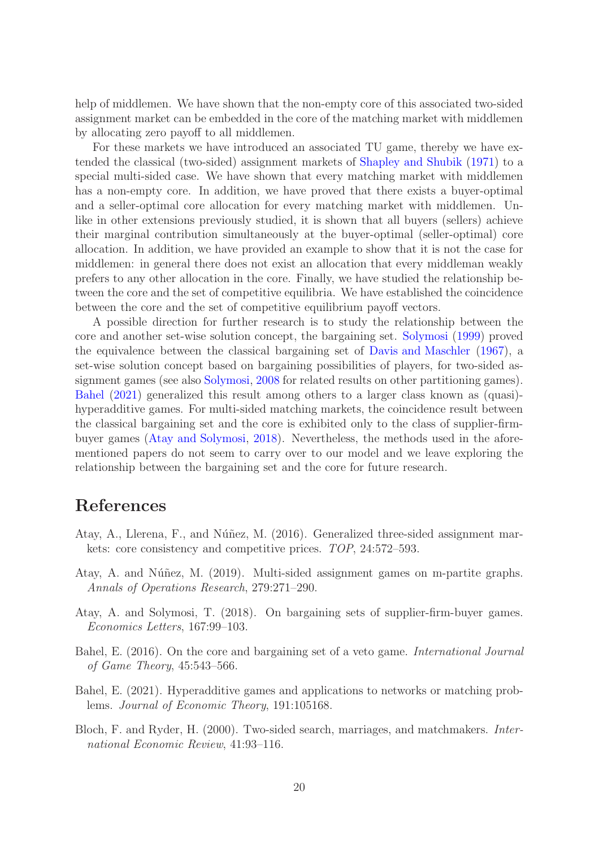help of middlemen. We have shown that the non-empty core of this associated two-sided assignment market can be embedded in the core of the matching market with middlemen by allocating zero payoff to all middlemen.

For these markets we have introduced an associated TU game, thereby we have extended the classical (two-sided) assignment markets of [Shapley and Shubik](#page-20-3) [\(1971](#page-20-3)) to a special multi-sided case. We have shown that every matching market with middlemen has a non-empty core. In addition, we have proved that there exists a buyer-optimal and a seller-optimal core allocation for every matching market with middlemen. Unlike in other extensions previously studied, it is shown that all buyers (sellers) achieve their marginal contribution simultaneously at the buyer-optimal (seller-optimal) core allocation. In addition, we have provided an example to show that it is not the case for middlemen: in general there does not exist an allocation that every middleman weakly prefers to any other allocation in the core. Finally, we have studied the relationship between the core and the set of competitive equilibria. We have established the coincidence between the core and the set of competitive equilibrium payoff vectors.

A possible direction for further research is to study the relationship between the core and another set-wise solution concept, the bargaining set. [Solymosi](#page-20-14) [\(1999](#page-20-14)) proved the equivalence between the classical bargaining set of [Davis and Maschler](#page-20-15) [\(1967\)](#page-20-15), a set-wise solution concept based on bargaining possibilities of players, for two-sided assignment games (see also [Solymosi](#page-20-16), [2008](#page-20-16) for related results on other partitioning games). [Bahel](#page-19-4) [\(2021\)](#page-19-4) generalized this result among others to a larger class known as (quasi) hyperadditive games. For multi-sided matching markets, the coincidence result between the classical bargaining set and the core is exhibited only to the class of supplier-firmbuyer games [\(Atay and Solymosi](#page-19-5), [2018](#page-19-5)). Nevertheless, the methods used in the aforementioned papers do not seem to carry over to our model and we leave exploring the relationship between the bargaining set and the core for future research.

# References

- <span id="page-19-1"></span>Atay, A., Llerena, F., and Núñez, M. (2016). Generalized three-sided assignment markets: core consistency and competitive prices. TOP, 24:572–593.
- <span id="page-19-3"></span>Atay, A. and Núñez, M. (2019). Multi-sided assignment games on m-partite graphs. Annals of Operations Research, 279:271–290.
- <span id="page-19-5"></span>Atay, A. and Solymosi, T. (2018). On bargaining sets of supplier-firm-buyer games. Economics Letters, 167:99–103.
- <span id="page-19-2"></span>Bahel, E. (2016). On the core and bargaining set of a veto game. International Journal of Game Theory, 45:543–566.
- <span id="page-19-4"></span>Bahel, E. (2021). Hyperadditive games and applications to networks or matching problems. Journal of Economic Theory, 191:105168.
- <span id="page-19-0"></span>Bloch, F. and Ryder, H. (2000). Two-sided search, marriages, and matchmakers. International Economic Review, 41:93–116.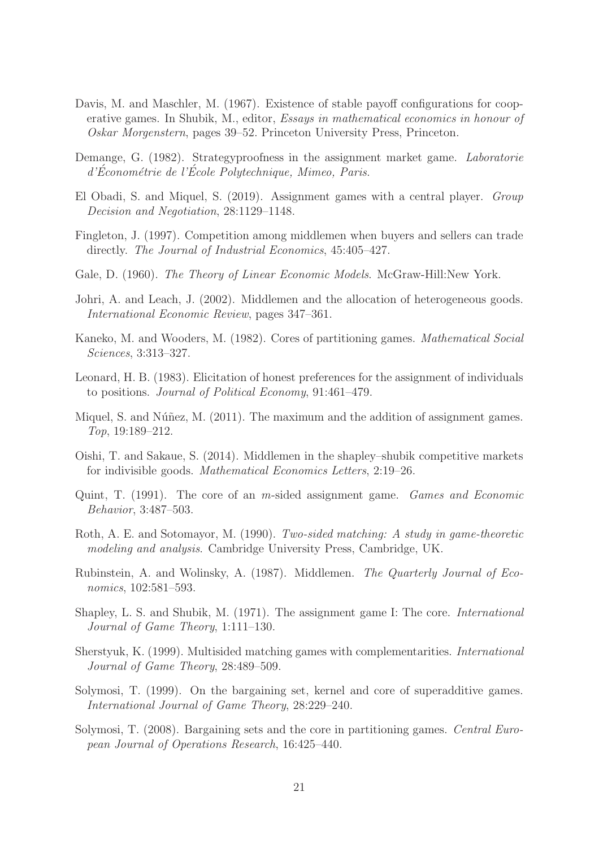- <span id="page-20-15"></span>Davis, M. and Maschler, M. (1967). Existence of stable payoff configurations for cooperative games. In Shubik, M., editor, Essays in mathematical economics in honour of Oskar Morgenstern, pages 39–52. Princeton University Press, Princeton.
- <span id="page-20-4"></span>Demange, G. (1982). Strategyproofness in the assignment market game. Laboratorie d'Econométrie de l'Ecole Polytechnique, Mimeo, Paris.
- <span id="page-20-10"></span>El Obadi, S. and Miquel, S. (2019). Assignment games with a central player. Group Decision and Negotiation, 28:1129–1148.
- <span id="page-20-1"></span>Fingleton, J. (1997). Competition among middlemen when buyers and sellers can trade directly. The Journal of Industrial Economics, 45:405-427.
- <span id="page-20-12"></span>Gale, D. (1960). The Theory of Linear Economic Models. McGraw-Hill:New York.
- <span id="page-20-2"></span>Johri, A. and Leach, J. (2002). Middlemen and the allocation of heterogeneous goods. International Economic Review, pages 347–361.
- <span id="page-20-6"></span>Kaneko, M. and Wooders, M. (1982). Cores of partitioning games. Mathematical Social Sciences, 3:313–327.
- <span id="page-20-5"></span>Leonard, H. B. (1983). Elicitation of honest preferences for the assignment of individuals to positions. Journal of Political Economy, 91:461–479.
- <span id="page-20-11"></span>Miquel, S. and Núñez, M.  $(2011)$ . The maximum and the addition of assignment games. Top, 19:189–212.
- <span id="page-20-9"></span>Oishi, T. and Sakaue, S. (2014). Middlemen in the shapley–shubik competitive markets for indivisible goods. Mathematical Economics Letters, 2:19–26.
- <span id="page-20-8"></span>Quint, T. (1991). The core of an m-sided assignment game. Games and Economic Behavior, 3:487–503.
- <span id="page-20-13"></span>Roth, A. E. and Sotomayor, M. (1990). Two-sided matching: A study in game-theoretic modeling and analysis. Cambridge University Press, Cambridge, UK.
- <span id="page-20-0"></span>Rubinstein, A. and Wolinsky, A. (1987). Middlemen. The Quarterly Journal of Economics, 102:581–593.
- <span id="page-20-3"></span>Shapley, L. S. and Shubik, M. (1971). The assignment game I: The core. International Journal of Game Theory, 1:111–130.
- <span id="page-20-7"></span>Sherstyuk, K. (1999). Multisided matching games with complementarities. International Journal of Game Theory, 28:489–509.
- <span id="page-20-14"></span>Solymosi, T. (1999). On the bargaining set, kernel and core of superadditive games. International Journal of Game Theory, 28:229–240.
- <span id="page-20-16"></span>Solymosi, T. (2008). Bargaining sets and the core in partitioning games. Central European Journal of Operations Research, 16:425–440.